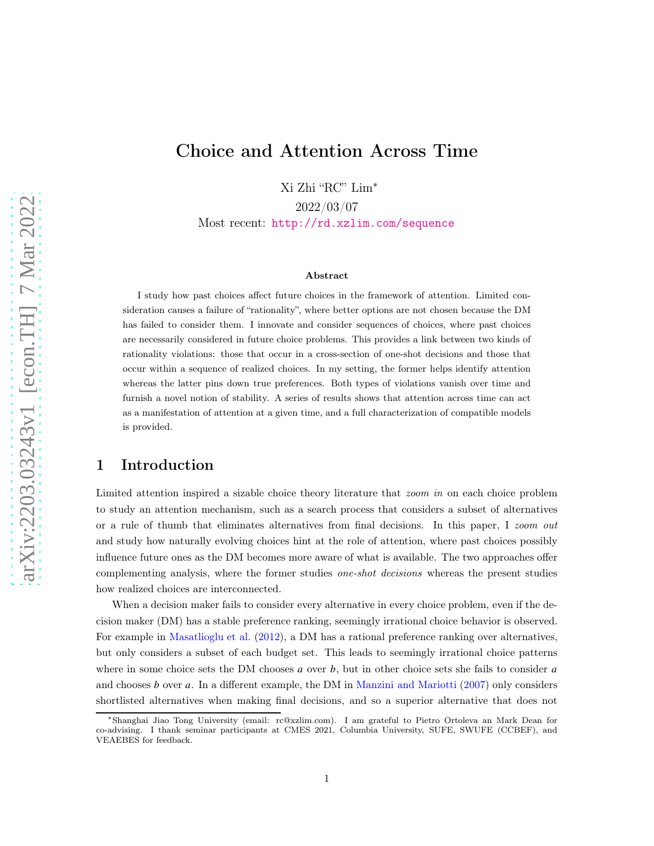# Choice and Attention Across Time

Xi Zhi "RC" Lim<sup>∗</sup>

2022/03/07

Most recent: <http://rd.xzlim.com/sequence>

#### Abstract

I study how past choices affect future choices in the framework of attention. Limited consideration causes a failure of "rationality", where better options are not chosen because the DM has failed to consider them. I innovate and consider sequences of choices, where past choices are necessarily considered in future choice problems. This provides a link between two kinds of rationality violations: those that occur in a cross-section of one-shot decisions and those that occur within a sequence of realized choices. In my setting, the former helps identify attention whereas the latter pins down true preferences. Both types of violations vanish over time and furnish a novel notion of stability. A series of results shows that attention across time can act as a manifestation of attention at a given time, and a full characterization of compatible models is provided.

## 1 Introduction

Limited attention inspired a sizable choice theory literature that *zoom in* on each choice problem to study an attention mechanism, such as a search process that considers a subset of alternatives or a rule of thumb that eliminates alternatives from final decisions. In this paper, I zoom out and study how naturally evolving choices hint at the role of attention, where past choices possibly influence future ones as the DM becomes more aware of what is available. The two approaches offer complementing analysis, where the former studies one-shot decisions whereas the present studies how realized choices are interconnected.

When a decision maker fails to consider every alternative in every choice problem, even if the decision maker (DM) has a stable preference ranking, seemingly irrational choice behavior is observed. For example in [Masatlioglu et al.](#page-18-0) [\(2012\)](#page-18-0), a DM has a rational preference ranking over alternatives, but only considers a subset of each budget set. This leads to seemingly irrational choice patterns where in some choice sets the DM chooses  $a$  over  $b$ , but in other choice sets she fails to consider  $a$ and chooses  $b$  over  $a$ . In a different example, the DM in [Manzini and Mariotti](#page-18-1) [\(2007\)](#page-18-1) only considers shortlisted alternatives when making final decisions, and so a superior alternative that does not

<sup>∗</sup>Shanghai Jiao Tong University (email: rc@xzlim.com). I am grateful to Pietro Ortoleva an Mark Dean for co-advising. I thank seminar participants at CMES 2021, Columbia University, SUFE, SWUFE (CCBEF), and VEAEBES for feedback.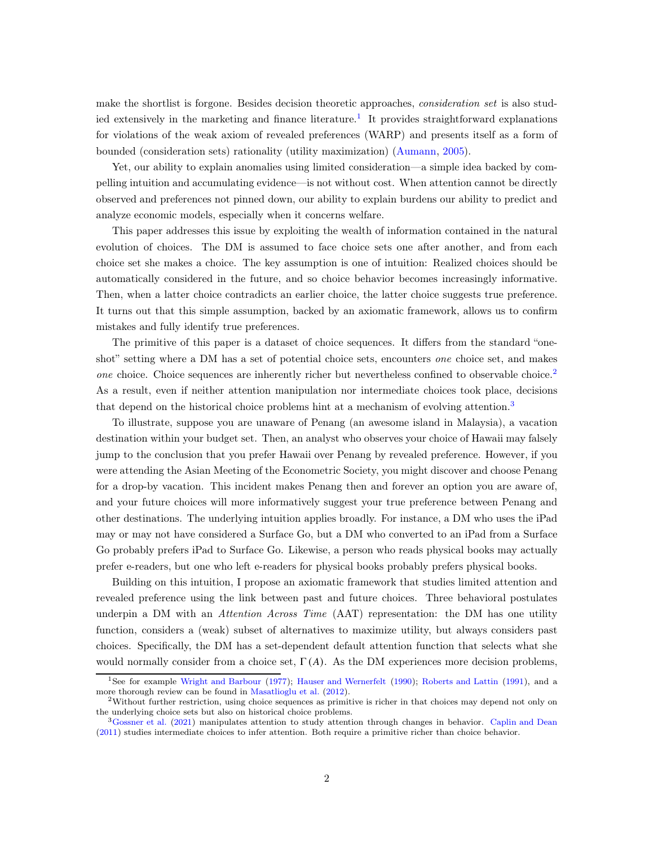make the shortlist is forgone. Besides decision theoretic approaches, *consideration set* is also stud-ied extensively in the marketing and finance literature.<sup>[1](#page-1-0)</sup> It provides straightforward explanations for violations of the weak axiom of revealed preferences (WARP) and presents itself as a form of bounded (consideration sets) rationality (utility maximization) [\(Aumann,](#page-18-2) [2005\)](#page-18-2).

Yet, our ability to explain anomalies using limited consideration—a simple idea backed by compelling intuition and accumulating evidence—is not without cost. When attention cannot be directly observed and preferences not pinned down, our ability to explain burdens our ability to predict and analyze economic models, especially when it concerns welfare.

This paper addresses this issue by exploiting the wealth of information contained in the natural evolution of choices. The DM is assumed to face choice sets one after another, and from each choice set she makes a choice. The key assumption is one of intuition: Realized choices should be automatically considered in the future, and so choice behavior becomes increasingly informative. Then, when a latter choice contradicts an earlier choice, the latter choice suggests true preference. It turns out that this simple assumption, backed by an axiomatic framework, allows us to confirm mistakes and fully identify true preferences.

The primitive of this paper is a dataset of choice sequences. It differs from the standard "oneshot" setting where a DM has a set of potential choice sets, encounters *one* choice set, and makes one choice. Choice sequences are inherently richer but nevertheless confined to observable choice.<sup>[2](#page-1-1)</sup> As a result, even if neither attention manipulation nor intermediate choices took place, decisions that depend on the historical choice problems hint at a mechanism of evolving attention.<sup>[3](#page-1-2)</sup>

To illustrate, suppose you are unaware of Penang (an awesome island in Malaysia), a vacation destination within your budget set. Then, an analyst who observes your choice of Hawaii may falsely jump to the conclusion that you prefer Hawaii over Penang by revealed preference. However, if you were attending the Asian Meeting of the Econometric Society, you might discover and choose Penang for a drop-by vacation. This incident makes Penang then and forever an option you are aware of, and your future choices will more informatively suggest your true preference between Penang and other destinations. The underlying intuition applies broadly. For instance, a DM who uses the iPad may or may not have considered a Surface Go, but a DM who converted to an iPad from a Surface Go probably prefers iPad to Surface Go. Likewise, a person who reads physical books may actually prefer e-readers, but one who left e-readers for physical books probably prefers physical books.

Building on this intuition, I propose an axiomatic framework that studies limited attention and revealed preference using the link between past and future choices. Three behavioral postulates underpin a DM with an *Attention Across Time* (AAT) representation: the DM has one utility function, considers a (weak) subset of alternatives to maximize utility, but always considers past choices. Specifically, the DM has a set-dependent default attention function that selects what she would normally consider from a choice set,  $\Gamma(A)$ . As the DM experiences more decision problems,

<span id="page-1-0"></span><sup>1</sup>See for example [Wright and Barbour](#page-18-3) [\(1977\)](#page-18-3); [Hauser and Wernerfelt](#page-18-4) [\(1990\)](#page-18-4); [Roberts and Lattin](#page-18-5) [\(1991\)](#page-18-5), and a more thorough review can be found in [Masatlioglu et al.](#page-18-0) [\(2012](#page-18-0)).

<span id="page-1-1"></span><sup>2</sup>Without further restriction, using choice sequences as primitive is richer in that choices may depend not only on the underlying choice sets but also on historical choice problems.

<span id="page-1-2"></span><sup>3</sup>[Gossner et al.](#page-18-6) [\(2021\)](#page-18-6) manipulates attention to study attention through changes in behavior. [Caplin and Dean](#page-18-7) [\(2011](#page-18-7)) studies intermediate choices to infer attention. Both require a primitive richer than choice behavior.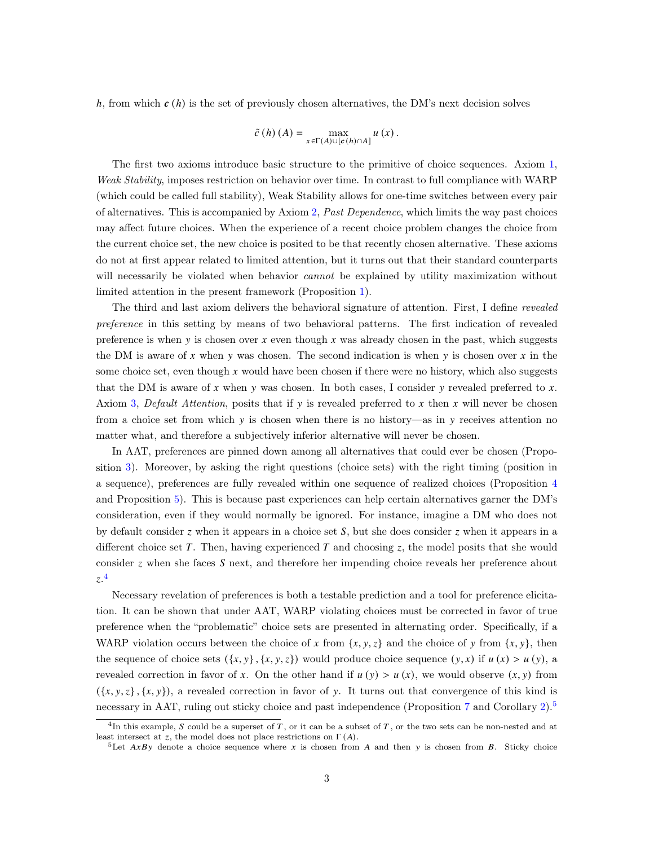h, from which  $c(h)$  is the set of previously chosen alternatives, the DM's next decision solves

$$
\tilde{c}(h)(A) = \max_{x \in \Gamma(A) \cup [c(h) \cap A]} u(x).
$$

The first two axioms introduce basic structure to the primitive of choice sequences. Axiom [1,](#page-5-0) Weak Stability, imposes restriction on behavior over time. In contrast to full compliance with WARP (which could be called full stability), Weak Stability allows for one-time switches between every pair of alternatives. This is accompanied by Axiom [2,](#page-6-0) Past Dependence, which limits the way past choices may affect future choices. When the experience of a recent choice problem changes the choice from the current choice set, the new choice is posited to be that recently chosen alternative. These axioms do not at first appear related to limited attention, but it turns out that their standard counterparts will necessarily be violated when behavior *cannot* be explained by utility maximization without limited attention in the present framework (Proposition [1\)](#page-8-0).

The third and last axiom delivers the behavioral signature of attention. First, I define revealed preference in this setting by means of two behavioral patterns. The first indication of revealed preference is when  $y$  is chosen over  $x$  even though  $x$  was already chosen in the past, which suggests the DM is aware of x when y was chosen. The second indication is when y is chosen over x in the some choice set, even though x would have been chosen if there were no history, which also suggests that the DM is aware of  $x$  when  $y$  was chosen. In both cases, I consider  $y$  revealed preferred to  $x$ . Axiom [3,](#page-6-1) Default Attention, posits that if y is revealed preferred to x then x will never be chosen from a choice set from which  $y$  is chosen when there is no history—as in  $y$  receives attention no matter what, and therefore a subjectively inferior alternative will never be chosen.

In AAT, preferences are pinned down among all alternatives that could ever be chosen (Proposition [3\)](#page-8-1). Moreover, by asking the right questions (choice sets) with the right timing (position in a sequence), preferences are fully revealed within one sequence of realized choices (Proposition [4](#page-9-0) and Proposition [5\)](#page-9-1). This is because past experiences can help certain alternatives garner the DM's consideration, even if they would normally be ignored. For instance, imagine a DM who does not by default consider  $\zeta$  when it appears in a choice set  $\zeta$ , but she does consider  $\zeta$  when it appears in a different choice set  $T$ . Then, having experienced  $T$  and choosing  $z$ , the model posits that she would consider  $z$  when she faces  $S$  next, and therefore her impending choice reveals her preference about  $z<sup>4</sup>$  $z<sup>4</sup>$  $z<sup>4</sup>$ 

Necessary revelation of preferences is both a testable prediction and a tool for preference elicitation. It can be shown that under AAT, WARP violating choices must be corrected in favor of true preference when the "problematic" choice sets are presented in alternating order. Specifically, if a WARP violation occurs between the choice of x from  $\{x, y, z\}$  and the choice of y from  $\{x, y\}$ , then the sequence of choice sets  $({x, y}, {x, y, z})$  would produce choice sequence  $(y, x)$  if  $u(x) > u(y)$ , a revealed correction in favor of x. On the other hand if  $u(y) > u(x)$ , we would observe  $(x, y)$  from  $({x, y, z}, {x, y})$ , a revealed correction in favor of y. It turns out that convergence of this kind is necessary in AAT, ruling out sticky choice and past independence (Proposition [7](#page-10-0) and Corollary [2\)](#page-10-1).<sup>[5](#page-2-1)</sup>

<sup>&</sup>lt;sup>4</sup>In this example, S could be a superset of T, or it can be a subset of T, or the two sets can be non-nested and at least intersect at z, the model does not place restrictions on  $\Gamma(A)$ .

<span id="page-2-1"></span><span id="page-2-0"></span><sup>&</sup>lt;sup>5</sup>Let  $AxBy$  denote a choice sequence where x is chosen from A and then y is chosen from B. Sticky choice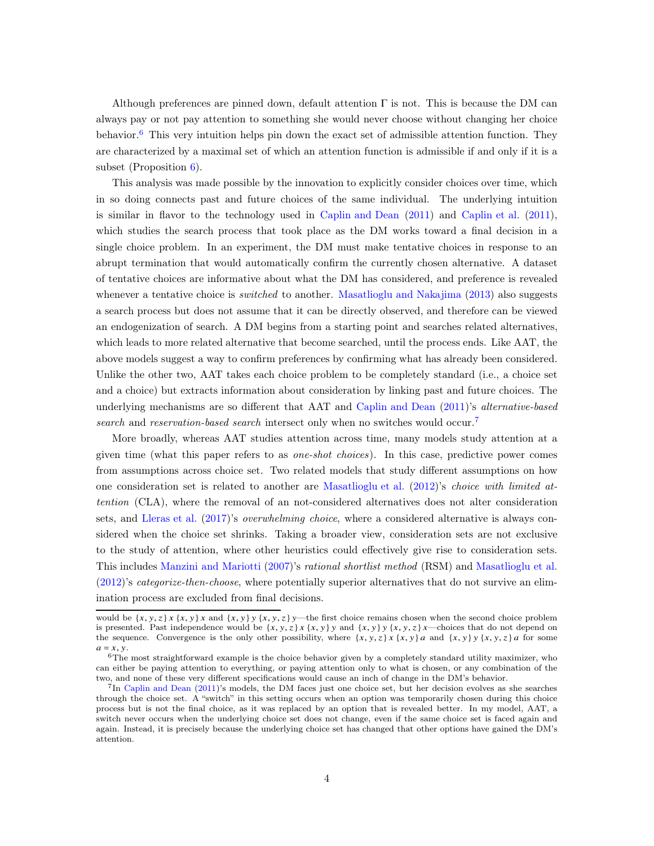Although preferences are pinned down, default attention  $\Gamma$  is not. This is because the DM can always pay or not pay attention to something she would never choose without changing her choice behavior.<sup>[6](#page-3-0)</sup> This very intuition helps pin down the exact set of admissible attention function. They are characterized by a maximal set of which an attention function is admissible if and only if it is a subset (Proposition [6\)](#page-9-2).

This analysis was made possible by the innovation to explicitly consider choices over time, which in so doing connects past and future choices of the same individual. The underlying intuition is similar in flavor to the technology used in [Caplin and Dean](#page-18-7) [\(2011\)](#page-18-7) and [Caplin et al.](#page-18-8) [\(2011\)](#page-18-8), which studies the search process that took place as the DM works toward a final decision in a single choice problem. In an experiment, the DM must make tentative choices in response to an abrupt termination that would automatically confirm the currently chosen alternative. A dataset of tentative choices are informative about what the DM has considered, and preference is revealed whenever a tentative choice is *switched* to another. [Masatlioglu and Nakajima](#page-18-9) [\(2013](#page-18-9)) also suggests a search process but does not assume that it can be directly observed, and therefore can be viewed an endogenization of search. A DM begins from a starting point and searches related alternatives, which leads to more related alternative that become searched, until the process ends. Like AAT, the above models suggest a way to confirm preferences by confirming what has already been considered. Unlike the other two, AAT takes each choice problem to be completely standard (i.e., a choice set and a choice) but extracts information about consideration by linking past and future choices. The underlying mechanisms are so different that AAT and [Caplin and Dean](#page-18-7) [\(2011\)](#page-18-7)'s *alternative-based* search and reservation-based search intersect only when no switches would occur.<sup>[7](#page-3-1)</sup>

More broadly, whereas AAT studies attention across time, many models study attention at a given time (what this paper refers to as *one-shot choices*). In this case, predictive power comes from assumptions across choice set. Two related models that study different assumptions on how one consideration set is related to another are [Masatlioglu et al.](#page-18-0) [\(2012](#page-18-0))'s choice with limited attention (CLA), where the removal of an not-considered alternatives does not alter consideration sets, and [Lleras et al.](#page-18-10) [\(2017](#page-18-10))'s *overwhelming choice*, where a considered alternative is always considered when the choice set shrinks. Taking a broader view, consideration sets are not exclusive to the study of attention, where other heuristics could effectively give rise to consideration sets. This includes [Manzini and Mariotti](#page-18-1) [\(2007](#page-18-1))'s rational shortlist method (RSM) and [Masatlioglu et al.](#page-18-0) [\(2012\)](#page-18-0)'s categorize-then-choose, where potentially superior alternatives that do not survive an elimination process are excluded from final decisions.

would be  $\{x, y, z\}$   $\{x, y\}$  and  $\{x, y\}$   $\{x, y, z\}$   $\}$ —the first choice remains chosen when the second choice problem is presented. Past independence would be  $\{x, y, z\}$   $\{x, y\}$  and  $\{x, y\}$ ,  $\{x, y, z\}$  and  $\{x, y, z\}$  and  $\{x, y\}$  and  $\{x, y\}$  and  $\{x, y\}$  and  $\{x, y\}$  and  $\{x, y\}$  and  $\{x, y\}$  and  $\{x, y\}$  and  $\{x, y\}$  and the sequence. Convergence is the only other possibility, where  $\{x, y, z\}$  and  $\{x, y\}$   $\{x, y, z\}$  and  $\{x, y, z\}$  for some  $a = x, y$ .

<span id="page-3-0"></span><sup>6</sup>The most straightforward example is the choice behavior given by a completely standard utility maximizer, who can either be paying attention to everything, or paying attention only to what is chosen, or any combination of the two, and none of these very different specifications would cause an inch of change in the DM's behavior.

<span id="page-3-1"></span><sup>&</sup>lt;sup>7</sup>In [Caplin and Dean](#page-18-7) [\(2011](#page-18-7))'s models, the DM faces just one choice set, but her decision evolves as she searches through the choice set. A "switch" in this setting occurs when an option was temporarily chosen during this choice process but is not the final choice, as it was replaced by an option that is revealed better. In my model, AAT, a switch never occurs when the underlying choice set does not change, even if the same choice set is faced again and again. Instead, it is precisely because the underlying choice set has changed that other options have gained the DM's attention.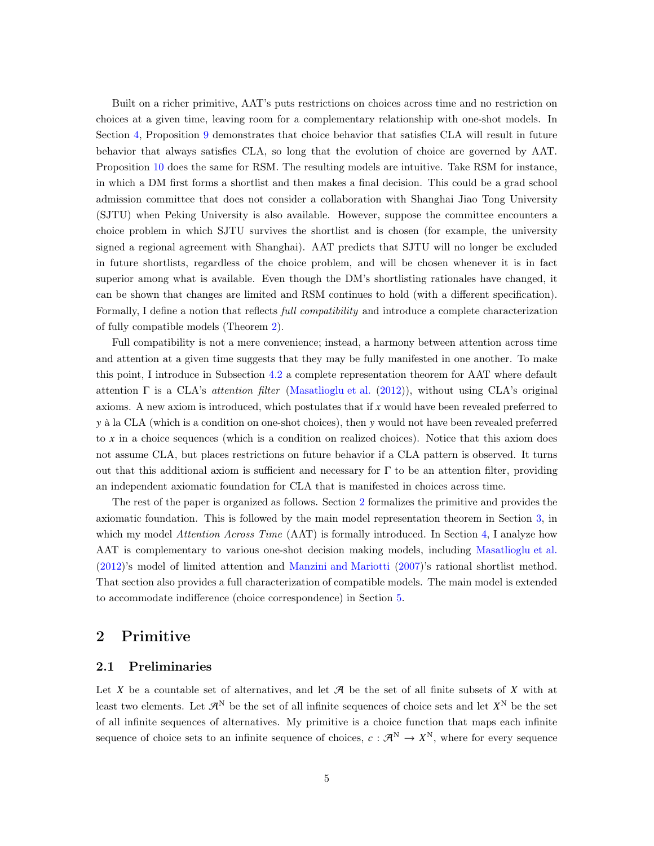Built on a richer primitive, AAT's puts restrictions on choices across time and no restriction on choices at a given time, leaving room for a complementary relationship with one-shot models. In Section [4,](#page-10-2) Proposition [9](#page-13-0) demonstrates that choice behavior that satisfies CLA will result in future behavior that always satisfies CLA, so long that the evolution of choice are governed by AAT. Proposition [10](#page-14-0) does the same for RSM. The resulting models are intuitive. Take RSM for instance, in which a DM first forms a shortlist and then makes a final decision. This could be a grad school admission committee that does not consider a collaboration with Shanghai Jiao Tong University (SJTU) when Peking University is also available. However, suppose the committee encounters a choice problem in which SJTU survives the shortlist and is chosen (for example, the university signed a regional agreement with Shanghai). AAT predicts that SJTU will no longer be excluded in future shortlists, regardless of the choice problem, and will be chosen whenever it is in fact superior among what is available. Even though the DM's shortlisting rationales have changed, it can be shown that changes are limited and RSM continues to hold (with a different specification). Formally, I define a notion that reflects full compatibility and introduce a complete characterization of fully compatible models (Theorem [2\)](#page-11-0).

Full compatibility is not a mere convenience; instead, a harmony between attention across time and attention at a given time suggests that they may be fully manifested in one another. To make this point, I introduce in Subsection [4.2](#page-11-1) a complete representation theorem for AAT where default attention  $\Gamma$  is a CLA's *attention filter* [\(Masatlioglu et al.](#page-18-0) [\(2012\)](#page-18-0)), without using CLA's original axioms. A new axiom is introduced, which postulates that if  $x$  would have been revealed preferred to y à la CLA (which is a condition on one-shot choices), then y would not have been revealed preferred to  $x$  in a choice sequences (which is a condition on realized choices). Notice that this axiom does not assume CLA, but places restrictions on future behavior if a CLA pattern is observed. It turns out that this additional axiom is sufficient and necessary for  $\Gamma$  to be an attention filter, providing an independent axiomatic foundation for CLA that is manifested in choices across time.

The rest of the paper is organized as follows. Section [2](#page-4-0) formalizes the primitive and provides the axiomatic foundation. This is followed by the main model representation theorem in Section [3,](#page-7-0) in which my model Attention Across Time (AAT) is formally introduced. In Section [4,](#page-10-2) I analyze how AAT is complementary to various one-shot decision making models, including [Masatlioglu et al.](#page-18-0) [\(2012\)](#page-18-0)'s model of limited attention and [Manzini and Mariotti](#page-18-1) [\(2007](#page-18-1))'s rational shortlist method. That section also provides a full characterization of compatible models. The main model is extended to accommodate indifference (choice correspondence) in Section [5.](#page-14-1)

## <span id="page-4-0"></span>2 Primitive

## 2.1 Preliminaries

Let X be a countable set of alternatives, and let  $\mathcal A$  be the set of all finite subsets of X with at least two elements. Let  $\mathcal{A}^N$  be the set of all infinite sequences of choice sets and let  $X^N$  be the set of all infinite sequences of alternatives. My primitive is a choice function that maps each infinite sequence of choice sets to an infinite sequence of choices,  $c : \mathcal{A}^N \to X^N$ , where for every sequence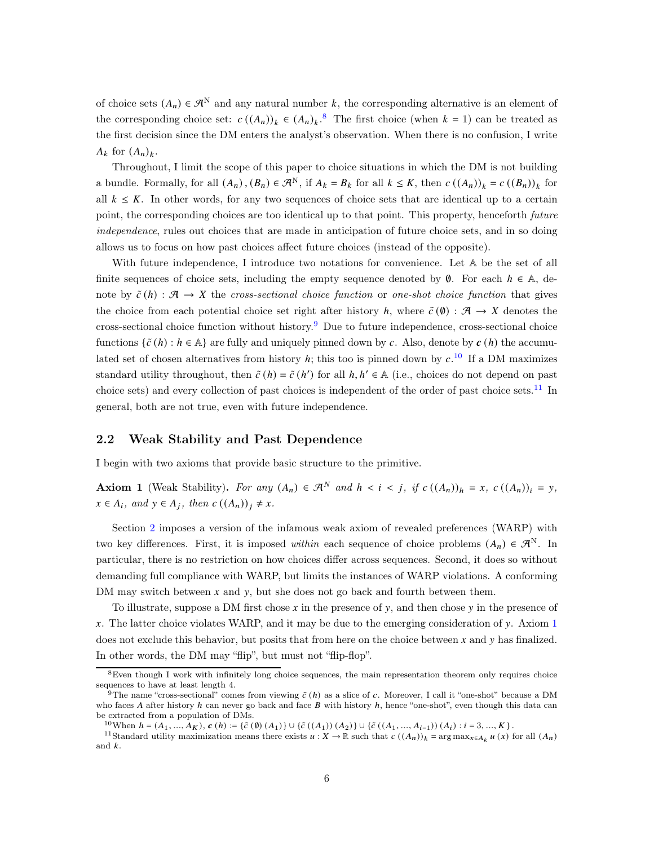of choice sets  $(A_n) \in \mathcal{A}^N$  and any natural number k, the corresponding alternative is an element of the corresponding choice set:  $c((A_n))_k \in (A_n)_k$ .<sup>[8](#page-5-1)</sup> The first choice (when  $k = 1$ ) can be treated as the first decision since the DM enters the analyst's observation. When there is no confusion, I write  $A_k$  for  $(A_n)_k$ .

Throughout, I limit the scope of this paper to choice situations in which the DM is not building a bundle. Formally, for all  $(A_n)$ ,  $(B_n) \in \mathcal{A}^N$ , if  $A_k = B_k$  for all  $k \leq K$ , then  $c((A_n))_k = c((B_n))_k$  for all  $k \leq K$ . In other words, for any two sequences of choice sets that are identical up to a certain point, the corresponding choices are too identical up to that point. This property, henceforth *future* independence, rules out choices that are made in anticipation of future choice sets, and in so doing allows us to focus on how past choices affect future choices (instead of the opposite).

With future independence, I introduce two notations for convenience. Let A be the set of all finite sequences of choice sets, including the empty sequence denoted by  $\emptyset$ . For each  $h \in \mathbb{A}$ , denote by  $\tilde{c}(h) : \mathcal{A} \to X$  the cross-sectional choice function or one-shot choice function that gives the choice from each potential choice set right after history h, where  $\tilde{c}(\emptyset)$  :  $\mathcal{A} \to X$  denotes the cross-sectional choice function without history.<sup>[9](#page-5-2)</sup> Due to future independence, cross-sectional choice functions  $\{\tilde{c}(h): h \in \mathbb{A}\}\$  are fully and uniquely pinned down by c. Also, denote by  $c(h)$  the accumulated set of chosen alternatives from history  $h$ ; this too is pinned down by  $c$ .<sup>[10](#page-5-3)</sup> If a DM maximizes standard utility throughout, then  $\tilde{c}(h) = \tilde{c}(h')$  for all  $h, h' \in A$  (i.e., choices do not depend on past choice sets) and every collection of past choices is independent of the order of past choice sets.<sup>[11](#page-5-4)</sup> In general, both are not true, even with future independence.

## 2.2 Weak Stability and Past Dependence

I begin with two axioms that provide basic structure to the primitive.

<span id="page-5-0"></span>Axiom 1 (Weak Stability). For any  $(A_n) \in \mathcal{A}^N$  and  $h < i < j$ , if  $c((A_n))_h = x$ ,  $c((A_n))_i = y$ ,  $x \in A_i$ , and  $y \in A_j$ , then  $c((A_n))_j \neq x$ .

Section [2](#page-4-0) imposes a version of the infamous weak axiom of revealed preferences (WARP) with two key differences. First, it is imposed within each sequence of choice problems  $(A_n) \in \mathcal{A}^N$ . In particular, there is no restriction on how choices differ across sequences. Second, it does so without demanding full compliance with WARP, but limits the instances of WARP violations. A conforming DM may switch between  $x$  and  $y$ , but she does not go back and fourth between them.

To illustrate, suppose a DM first chose  $x$  in the presence of  $y$ , and then chose  $y$  in the presence of x. The latter choice violates WARP, and it may be due to the emerging consideration of  $\gamma$ . Axiom [1](#page-5-0) does not exclude this behavior, but posits that from here on the choice between  $x$  and  $y$  has finalized. In other words, the DM may "flip", but must not "flip-flop".

<sup>8</sup>Even though I work with infinitely long choice sequences, the main representation theorem only requires choice sequences to have at least length 4.

<span id="page-5-2"></span><span id="page-5-1"></span><sup>&</sup>lt;sup>9</sup>The name "cross-sectional" comes from viewing  $\tilde{c}$  (h) as a slice of c. Moreover, I call it "one-shot" because a DM who faces  $A$  after history  $h$  can never go back and face  $B$  with history  $h$ , hence "one-shot", even though this data can be extracted from a population of DMs.

<span id="page-5-3"></span> $^{10}$ When  $h = (A_1, ..., A_K), c(h) := \{\tilde{c}(0)(A_1)\} \cup \{\tilde{c}((A_1))(A_2)\} \cup \{\tilde{c}((A_1, ..., A_{i-1}))(A_i) : i = 3, ..., K\}$ .

<span id="page-5-4"></span><sup>&</sup>lt;sup>11</sup>Standard utility maximization means there exists  $u: X \to \mathbb{R}$  such that  $c((A_n))_k = \arg \max_{x \in A_k} u(x)$  for all  $(A_n)$ and  $k$ .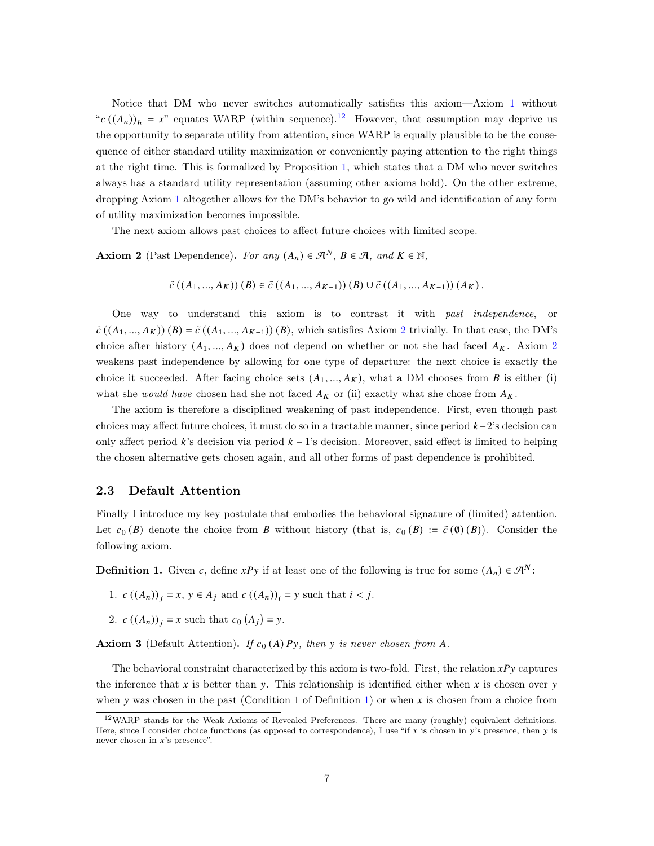Notice that DM who never switches automatically satisfies this axiom—Axiom [1](#page-5-0) without " $c((A_n))_h = x$ " equates WARP (within sequence).<sup>[12](#page-6-2)</sup> However, that assumption may deprive us the opportunity to separate utility from attention, since WARP is equally plausible to be the consequence of either standard utility maximization or conveniently paying attention to the right things at the right time. This is formalized by Proposition [1,](#page-8-0) which states that a DM who never switches always has a standard utility representation (assuming other axioms hold). On the other extreme, dropping Axiom [1](#page-5-0) altogether allows for the DM's behavior to go wild and identification of any form of utility maximization becomes impossible.

The next axiom allows past choices to affect future choices with limited scope.

<span id="page-6-0"></span>Axiom 2 (Past Dependence). For any  $(A_n) \in \mathcal{A}^N$ ,  $B \in \mathcal{A}$ , and  $K \in \mathbb{N}$ ,

$$
\tilde{c}((A_1, ..., A_K))(B) \in \tilde{c}((A_1, ..., A_{K-1}))(B) \cup \tilde{c}((A_1, ..., A_{K-1}))(A_K).
$$

One way to understand this axiom is to contrast it with past independence, or  $\tilde{c}((A_1,..., A_K))$   $(B) = \tilde{c}((A_1,..., A_{K-1}))$   $(B)$ , which satisfies Axiom [2](#page-6-0) trivially. In that case, the DM's choice after history  $(A_1, ..., A_K)$  does not depend on whether or not she had faced  $A_K$ . Axiom [2](#page-6-0) weakens past independence by allowing for one type of departure: the next choice is exactly the choice it succeeded. After facing choice sets  $(A_1, ..., A_K)$ , what a DM chooses from B is either (i) what she would have chosen had she not faced  $A_K$  or (ii) exactly what she chose from  $A_K$ .

The axiom is therefore a disciplined weakening of past independence. First, even though past choices may affect future choices, it must do so in a tractable manner, since period  $k-2$ 's decision can only affect period k's decision via period  $k-1$ 's decision. Moreover, said effect is limited to helping the chosen alternative gets chosen again, and all other forms of past dependence is prohibited.

### 2.3 Default Attention

Finally I introduce my key postulate that embodies the behavioral signature of (limited) attention. Let  $c_0(B)$  denote the choice from B without history (that is,  $c_0(B) := \tilde{c}(0)(B)$ ). Consider the following axiom.

<span id="page-6-3"></span>**Definition 1.** Given c, define  $xPy$  if at least one of the following is true for some  $(A_n) \in \mathcal{R}^N$ :

- 1.  $c((A_n))_i = x, y \in A_i$  and  $c((A_n))_i = y$  such that  $i < j$ .
- 2.  $c((A_n))_j = x$  such that  $c_0(A_j) = y$ .

<span id="page-6-1"></span>**Axiom 3** (Default Attention). If  $c_0(A)Py$ , then y is never chosen from A.

The behavioral constraint characterized by this axiom is two-fold. First, the relation  $xPy$  captures the inference that x is better than y. This relationship is identified either when x is chosen over y when y was chosen in the past (Condition 1 of Definition [1\)](#page-6-3) or when x is chosen from a choice from

<span id="page-6-2"></span><sup>12</sup>WARP stands for the Weak Axioms of Revealed Preferences. There are many (roughly) equivalent definitions. Here, since I consider choice functions (as opposed to correspondence), I use "if x is chosen in  $y$ 's presence, then  $y$  is never chosen in  $x$ 's presence".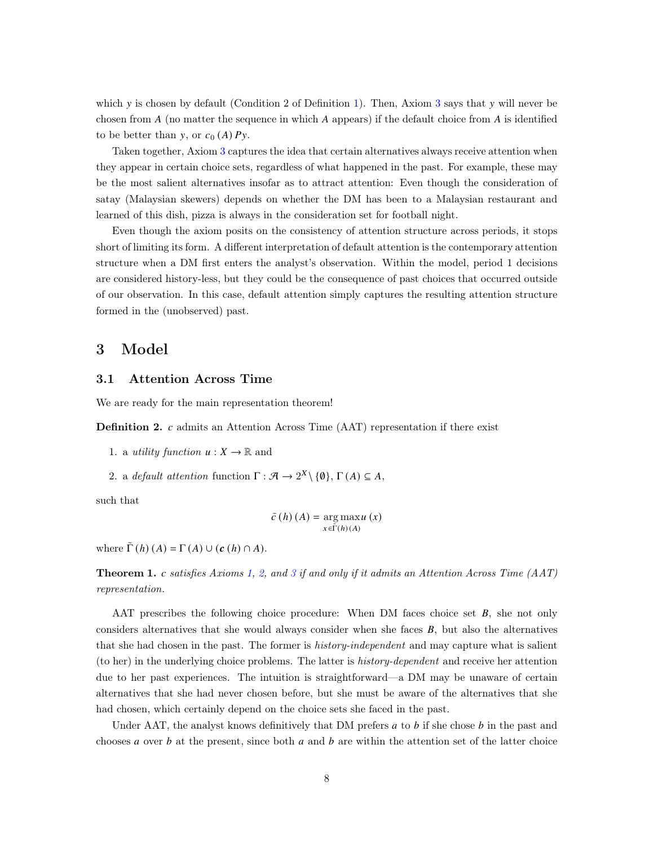which y is chosen by default (Condition 2 of Definition [1\)](#page-6-3). Then, Axiom [3](#page-6-1) says that  $\gamma$  will never be chosen from  $A$  (no matter the sequence in which  $A$  appears) if the default choice from  $A$  is identified to be better than y, or  $c_0(A)Py$ .

Taken together, Axiom [3](#page-6-1) captures the idea that certain alternatives always receive attention when they appear in certain choice sets, regardless of what happened in the past. For example, these may be the most salient alternatives insofar as to attract attention: Even though the consideration of satay (Malaysian skewers) depends on whether the DM has been to a Malaysian restaurant and learned of this dish, pizza is always in the consideration set for football night.

Even though the axiom posits on the consistency of attention structure across periods, it stops short of limiting its form. A different interpretation of default attention is the contemporary attention structure when a DM first enters the analyst's observation. Within the model, period 1 decisions are considered history-less, but they could be the consequence of past choices that occurred outside of our observation. In this case, default attention simply captures the resulting attention structure formed in the (unobserved) past.

## <span id="page-7-0"></span>3 Model

## 3.1 Attention Across Time

We are ready for the main representation theorem!

**Definition 2.**  $c$  admits an Attention Across Time (AAT) representation if there exist

- 1. a *utility function*  $u: X \to \mathbb{R}$  and
- 2. a default attention function  $\Gamma : \mathcal{A} \to 2^X \setminus \{\emptyset\}, \Gamma(A) \subseteq A$ ,

such that

$$
\tilde{c}(h)(A) = \arg\max_{x \in \tilde{\Gamma}(h)(A)} u(x)
$$

where  $\tilde{\Gamma}(h)(A) = \Gamma(A) \cup (c(h) \cap A)$ .

<span id="page-7-1"></span>**Theorem 1.** c satisfies Axioms [1,](#page-5-0) [2,](#page-6-0) and [3](#page-6-1) if and only if it admits an Attention Across Time (AAT) representation.

AAT prescribes the following choice procedure: When DM faces choice set  $B$ , she not only considers alternatives that she would always consider when she faces  $B$ , but also the alternatives that she had chosen in the past. The former is *history-independent* and may capture what is salient (to her) in the underlying choice problems. The latter is history-dependent and receive her attention due to her past experiences. The intuition is straightforward—a DM may be unaware of certain alternatives that she had never chosen before, but she must be aware of the alternatives that she had chosen, which certainly depend on the choice sets she faced in the past.

Under AAT, the analyst knows definitively that DM prefers  $a$  to  $b$  if she chose  $b$  in the past and chooses  $a$  over  $b$  at the present, since both  $a$  and  $b$  are within the attention set of the latter choice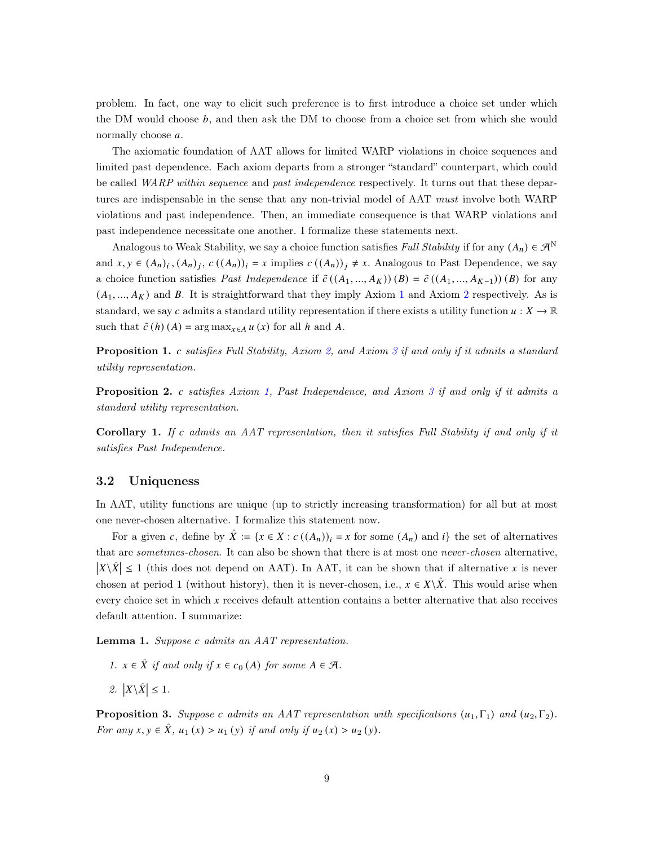problem. In fact, one way to elicit such preference is to first introduce a choice set under which the DM would choose  $b$ , and then ask the DM to choose from a choice set from which she would normally choose a.

The axiomatic foundation of AAT allows for limited WARP violations in choice sequences and limited past dependence. Each axiom departs from a stronger "standard" counterpart, which could be called *WARP within sequence* and *past independence* respectively. It turns out that these departures are indispensable in the sense that any non-trivial model of AAT must involve both WARP violations and past independence. Then, an immediate consequence is that WARP violations and past independence necessitate one another. I formalize these statements next.

Analogous to Weak Stability, we say a choice function satisfies Full Stability if for any  $(A_n) \in \mathcal{A}^N$ and  $x, y \in (A_n)_i$ ,  $(A_n)_j$ ,  $c((A_n))_i = x$  implies  $c((A_n))_j \neq x$ . Analogous to Past Dependence, we say a choice function satisfies *Past Independence* if  $\tilde{c}((A_1, ..., A_K))$  (*B*) =  $\tilde{c}((A_1, ..., A_{K-1}))(B)$  for any  $(A_1, ..., A_K)$  $(A_1, ..., A_K)$  $(A_1, ..., A_K)$  and B. It is straightforward that they imply Axiom 1 and Axiom [2](#page-6-0) respectively. As is standard, we say c admits a standard utility representation if there exists a utility function  $u: X \to \mathbb{R}$ such that  $\tilde{c}(h)(A) = \arg \max_{x \in A} u(x)$  for all h and A.

<span id="page-8-0"></span>**Proposition 1.** c satisfies Full Stability, Axiom [2,](#page-6-0) and Axiom [3](#page-6-1) if and only if it admits a standard utility representation.

<span id="page-8-3"></span>**Proposition 2.** c satisfies Axiom [1,](#page-5-0) Past Independence, and Axiom [3](#page-6-1) if and only if it admits a standard utility representation.

<span id="page-8-5"></span>**Corollary 1.** If c admits an AAT representation, then it satisfies Full Stability if and only if it satisfies Past Independence.

## <span id="page-8-4"></span>3.2 Uniqueness

In AAT, utility functions are unique (up to strictly increasing transformation) for all but at most one never-chosen alternative. I formalize this statement now.

For a given c, define by  $\hat{X} := \{x \in X : c((A_n))_i = x \text{ for some } (A_n) \text{ and } i\}$  the set of alternatives that are sometimes-chosen. It can also be shown that there is at most one never-chosen alternative,  $|X \setminus \hat{X}| \leq 1$  (this does not depend on AAT). In AAT, it can be shown that if alternative x is never chosen at period 1 (without history), then it is never-chosen, i.e.,  $x \in X\backslash X$ . This would arise when every choice set in which x receives default attention contains a better alternative that also receives default attention. I summarize:

<span id="page-8-2"></span>**Lemma 1.** Suppose c admits an  $AAT$  representation.

- 1.  $x \in \hat{X}$  if and only if  $x \in c_0(A)$  for some  $A \in \mathcal{A}$ .
- 2.  $|X \backslash \hat{X}| \leq 1$ .

<span id="page-8-1"></span>**Proposition 3.** Suppose c admits an AAT representation with specifications  $(u_1, \Gamma_1)$  and  $(u_2, \Gamma_2)$ . For any  $x, y \in \hat{X}$ ,  $u_1(x) > u_1(y)$  if and only if  $u_2(x) > u_2(y)$ .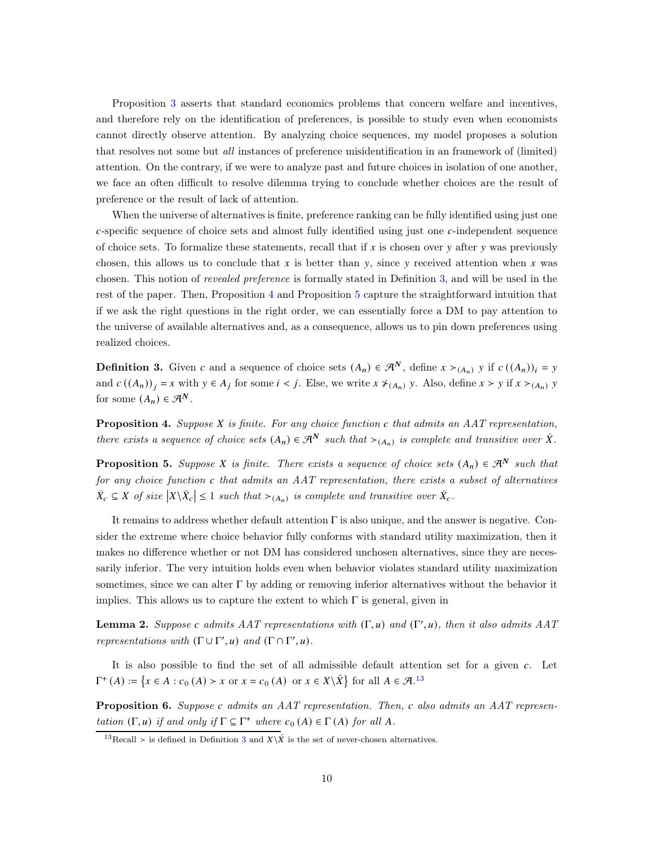Proposition [3](#page-8-1) asserts that standard economics problems that concern welfare and incentives, and therefore rely on the identification of preferences, is possible to study even when economists cannot directly observe attention. By analyzing choice sequences, my model proposes a solution that resolves not some but all instances of preference misidentification in an framework of (limited) attention. On the contrary, if we were to analyze past and future choices in isolation of one another, we face an often difficult to resolve dilemma trying to conclude whether choices are the result of preference or the result of lack of attention.

When the universe of alternatives is finite, preference ranking can be fully identified using just one  $c$ -specific sequence of choice sets and almost fully identified using just one  $c$ -independent sequence of choice sets. To formalize these statements, recall that if  $x$  is chosen over  $y$  after  $y$  was previously chosen, this allows us to conclude that  $x$  is better than  $y$ , since  $y$  received attention when  $x$  was chosen. This notion of revealed preference is formally stated in Definition [3,](#page-9-3) and will be used in the rest of the paper. Then, Proposition [4](#page-9-0) and Proposition [5](#page-9-1) capture the straightforward intuition that if we ask the right questions in the right order, we can essentially force a DM to pay attention to the universe of available alternatives and, as a consequence, allows us to pin down preferences using realized choices.

<span id="page-9-3"></span>**Definition 3.** Given c and a sequence of choice sets  $(A_n) \in \mathcal{A}^N$ , define  $x >_{(A_n)} y$  if  $c((A_n))_i = y$ and  $c((A_n))_i = x$  with  $y \in A_j$  for some  $i < j$ . Else, we write  $x \neq_{A_n} y$ . Also, define  $x > y$  if  $x >_{A_n} y$ for some  $(A_n) \in \mathcal{A}^N$ .

<span id="page-9-0"></span>**Proposition 4.** Suppose  $X$  is finite. For any choice function  $c$  that admits an AAT representation, there exists a sequence of choice sets  $(A_n) \in \mathcal{A}^N$  such that  $\succ_{(A_n)}$  is complete and transitive over  $\hat{X}$ .

<span id="page-9-1"></span>**Proposition 5.** Suppose X is finite. There exists a sequence of choice sets  $(A_n) \in \mathcal{R}^N$  such that for any choice function  $c$  that admits an AAT representation, there exists a subset of alternatives  $\bar{X}_c \subseteq X$  of size  $|X \setminus \bar{X}_c| \leq 1$  such that  $\succ_{(A_n)}$  is complete and transitive over  $\bar{X}_c$ .

It remains to address whether default attention  $\Gamma$  is also unique, and the answer is negative. Consider the extreme where choice behavior fully conforms with standard utility maximization, then it makes no difference whether or not DM has considered unchosen alternatives, since they are necessarily inferior. The very intuition holds even when behavior violates standard utility maximization sometimes, since we can alter  $\Gamma$  by adding or removing inferior alternatives without the behavior it implies. This allows us to capture the extent to which  $\Gamma$  is general, given in

<span id="page-9-5"></span>**Lemma 2.** Suppose c admits AAT representations with  $(\Gamma, u)$  and  $(\Gamma', u)$ , then it also admits AAT representations with  $(\Gamma \cup \Gamma', u)$  and  $(\Gamma \cap \Gamma', u)$ .

It is also possible to find the set of all admissible default attention set for a given  $c$ . Let  $\Gamma^+(A) := \{x \in A : c_0(A) > x \text{ or } x = c_0(A) \text{ or } x \in X \setminus \hat{X}\}\)$  for all  $A \in \mathcal{A}$ .<sup>[13](#page-9-4)</sup>

<span id="page-9-2"></span>**Proposition 6.** Suppose c admits an AAT representation. Then, c also admits an AAT representation  $(\Gamma, u)$  if and only if  $\Gamma \subseteq \Gamma^+$  where  $c_0(A) \in \Gamma(A)$  for all A.

<span id="page-9-4"></span><sup>&</sup>lt;sup>1[3](#page-9-3)</sup>Recall ≻ is defined in Definition 3 and  $X\backslash\hat{X}$  is the set of never-chosen alternatives.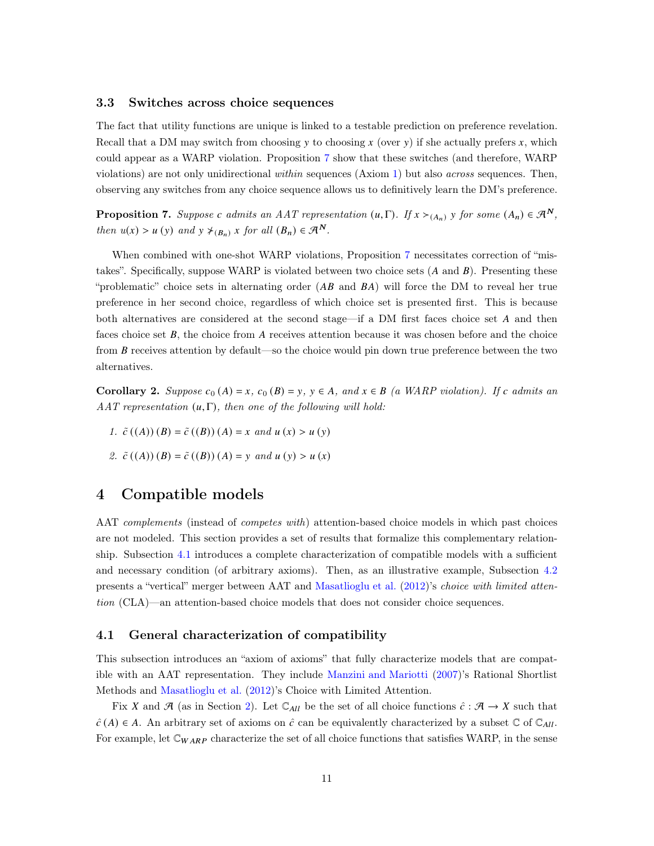## 3.3 Switches across choice sequences

The fact that utility functions are unique is linked to a testable prediction on preference revelation. Recall that a DM may switch from choosing  $y$  to choosing  $x$  (over  $y$ ) if she actually prefers  $x$ , which could appear as a WARP violation. Proposition [7](#page-10-0) show that these switches (and therefore, WARP violations) are not only unidirectional within sequences (Axiom [1\)](#page-5-0) but also across sequences. Then, observing any switches from any choice sequence allows us to definitively learn the DM's preference.

<span id="page-10-0"></span>**Proposition 7.** Suppose c admits an AAT representation  $(u, \Gamma)$ . If  $x >_{(A_n)} y$  for some  $(A_n) \in \mathcal{R}^N$ , then  $u(x) > u(y)$  and  $y \neq_{(B_n)} x$  for all  $(B_n) \in \mathcal{A}^N$ .

When combined with one-shot WARP violations, Proposition [7](#page-10-0) necessitates correction of "mistakes". Specifically, suppose WARP is violated between two choice sets  $(A \text{ and } B)$ . Presenting these "problematic" choice sets in alternating order  $(AB \text{ and } BA)$  will force the DM to reveal her true preference in her second choice, regardless of which choice set is presented first. This is because both alternatives are considered at the second stage—if a DM first faces choice set  $A$  and then faces choice set  $B$ , the choice from  $A$  receives attention because it was chosen before and the choice from  $B$  receives attention by default—so the choice would pin down true preference between the two alternatives.

<span id="page-10-1"></span>Corollary 2. Suppose  $c_0(A) = x$ ,  $c_0(B) = y$ ,  $y \in A$ , and  $x \in B$  (a WARP violation). If c admits an AAT representation  $(u, \Gamma)$ , then one of the following will hold:

- 1.  $\tilde{c}((A))(B) = \tilde{c}((B))(A) = x$  and  $u(x) > u(y)$
- <span id="page-10-2"></span>2.  $\tilde{c}((A))(B) = \tilde{c}((B))(A) = y$  and  $u(y) > u(x)$

## 4 Compatible models

AAT complements (instead of competes with) attention-based choice models in which past choices are not modeled. This section provides a set of results that formalize this complementary relationship. Subsection [4.1](#page-10-3) introduces a complete characterization of compatible models with a sufficient and necessary condition (of arbitrary axioms). Then, as an illustrative example, Subsection [4.2](#page-11-1) presents a "vertical" merger between AAT and [Masatlioglu et al.](#page-18-0) [\(2012\)](#page-18-0)'s choice with limited attention (CLA)—an attention-based choice models that does not consider choice sequences.

## <span id="page-10-3"></span>4.1 General characterization of compatibility

This subsection introduces an "axiom of axioms" that fully characterize models that are compatible with an AAT representation. They include [Manzini and Mariotti](#page-18-1) [\(2007\)](#page-18-1)'s Rational Shortlist Methods and [Masatlioglu et al.](#page-18-0) [\(2012\)](#page-18-0)'s Choice with Limited Attention.

Fix X and A (as in Section [2\)](#page-4-0). Let  $\mathbb{C}_{All}$  be the set of all choice functions  $\hat{c}: \mathcal{A} \to X$  such that  $\hat{c}(A) \in A$ . An arbitrary set of axioms on  $\hat{c}$  can be equivalently characterized by a subset  $\mathbb{C}$  of  $\mathbb{C}_{All}$ . For example, let  $\mathbb{C}_{WARP}$  characterize the set of all choice functions that satisfies WARP, in the sense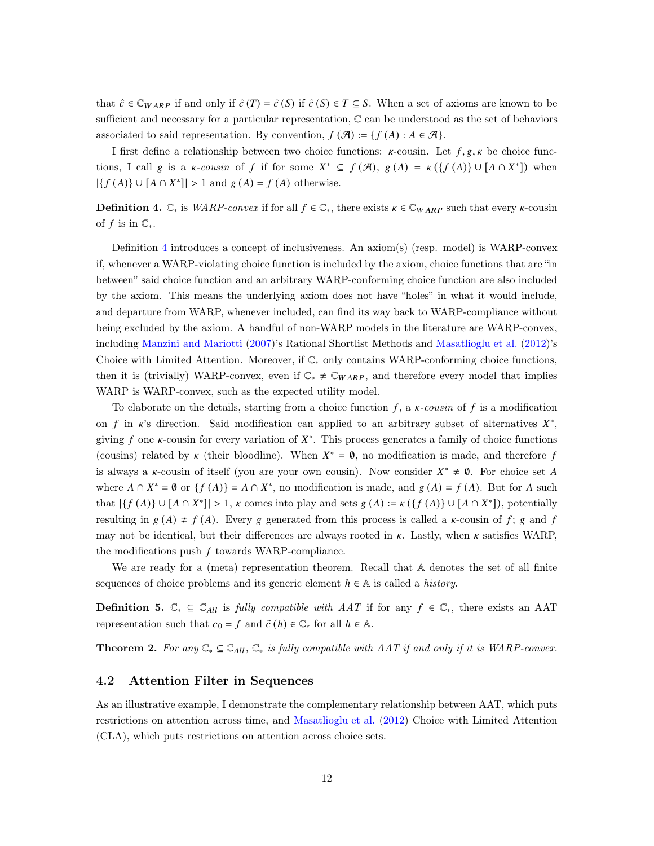that  $\hat{c} \in \mathbb{C}_{WARP}$  if and only if  $\hat{c}(T) = \hat{c}(S)$  if  $\hat{c}(S) \in T \subseteq S$ . When a set of axioms are known to be sufficient and necessary for a particular representation, C can be understood as the set of behaviors associated to said representation. By convention,  $f(\mathcal{A}) := \{f(A) : A \in \mathcal{A}\}.$ 

I first define a relationship between two choice functions:  $\kappa$ -cousin. Let  $f, g, \kappa$  be choice functions, I call g is a  $\kappa$ -cousin of f if for some  $X^* \subseteq f(\mathcal{A})$ ,  $g(A) = \kappa({f(A)} \cup [A \cap X^*])$  when  $|\{f(A)\}\cup [A\cap X^*]| > 1$  and  $g(A) = f(A)$  otherwise.

<span id="page-11-2"></span>**Definition 4.**  $\mathbb{C}_*$  is *WARP-convex* if for all  $f \in \mathbb{C}_*$ , there exists  $\kappa \in \mathbb{C}_{WARP}$  such that every  $\kappa$ -cousin of f is in  $\mathbb{C}_*$ .

Definition [4](#page-11-2) introduces a concept of inclusiveness. An axiom(s) (resp. model) is WARP-convex if, whenever a WARP-violating choice function is included by the axiom, choice functions that are "in between" said choice function and an arbitrary WARP-conforming choice function are also included by the axiom. This means the underlying axiom does not have "holes" in what it would include, and departure from WARP, whenever included, can find its way back to WARP-compliance without being excluded by the axiom. A handful of non-WARP models in the literature are WARP-convex, including [Manzini and Mariotti](#page-18-1) [\(2007](#page-18-1))'s Rational Shortlist Methods and [Masatlioglu et al.](#page-18-0) [\(2012\)](#page-18-0)'s Choice with Limited Attention. Moreover, if  $\mathbb{C}_*$  only contains WARP-conforming choice functions, then it is (trivially) WARP-convex, even if  $\mathbb{C}^* \neq \mathbb{C}_{WARP}$ , and therefore every model that implies WARP is WARP-convex, such as the expected utility model.

To elaborate on the details, starting from a choice function  $f$ , a  $\kappa$ -cousin of  $f$  is a modification on f in  $\kappa$ 's direction. Said modification can applied to an arbitrary subset of alternatives  $X^*$ , giving f one  $\kappa$ -cousin for every variation of  $X^*$ . This process generates a family of choice functions (cousins) related by  $\kappa$  (their bloodline). When  $X^* = \emptyset$ , no modification is made, and therefore f is always a  $\kappa$ -cousin of itself (you are your own cousin). Now consider  $X^* \neq \emptyset$ . For choice set A where  $A \cap X^* = \emptyset$  or  $\{f(A)\} = A \cap X^*$ , no modification is made, and  $g(A) = f(A)$ . But for A such that  $|\{f(A)\} \cup [A \cap X^*]| > 1$ ,  $\kappa$  comes into play and sets  $g(A) := \kappa(\{f(A)\} \cup [A \cap X^*])$ , potentially resulting in  $g(A) \neq f(A)$ . Every g generated from this process is called a  $\kappa$ -cousin of  $f$ ;  $g$  and  $f$ may not be identical, but their differences are always rooted in  $\kappa$ . Lastly, when  $\kappa$  satisfies WARP, the modifications push  $f$  towards WARP-compliance.

We are ready for a (meta) representation theorem. Recall that  $A$  denotes the set of all finite sequences of choice problems and its generic element  $h \in \mathbb{A}$  is called a *history*.

<span id="page-11-3"></span>**Definition 5.**  $\mathbb{C}_* \subseteq \mathbb{C}_{All}$  is fully compatible with AAT if for any  $f \in \mathbb{C}_*$ , there exists an AAT representation such that  $c_0 = f$  and  $\tilde{c}(h) \in \mathbb{C}^*$  for all  $h \in \mathbb{A}$ .

<span id="page-11-1"></span><span id="page-11-0"></span>**Theorem 2.** For any  $\mathbb{C}_* \subseteq \mathbb{C}_{All}$ ,  $\mathbb{C}_*$  is fully compatible with AAT if and only if it is WARP-convex.

## 4.2 Attention Filter in Sequences

As an illustrative example, I demonstrate the complementary relationship between AAT, which puts restrictions on attention across time, and [Masatlioglu et al.](#page-18-0) [\(2012\)](#page-18-0) Choice with Limited Attention (CLA), which puts restrictions on attention across choice sets.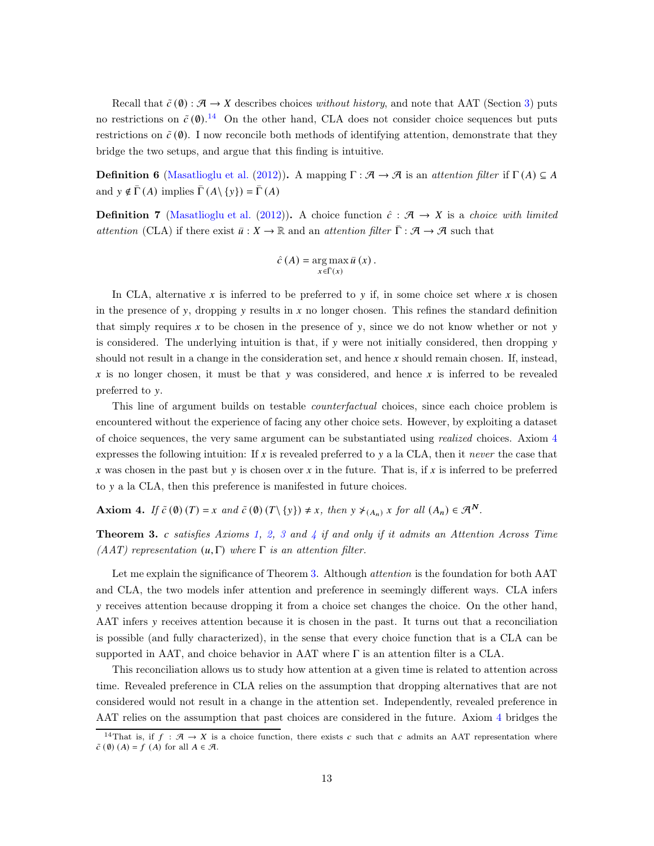Recall that  $\tilde{c}(\emptyset) : \mathcal{A} \to X$  describes choices without history, and note that AAT (Section [3\)](#page-7-0) puts no restrictions on  $\tilde{c}(\mathbf{0})$ .<sup>[14](#page-12-0)</sup> On the other hand, CLA does not consider choice sequences but puts restrictions on  $\tilde{c}(\emptyset)$ . I now reconcile both methods of identifying attention, demonstrate that they bridge the two setups, and argue that this finding is intuitive.

**Definition 6** [\(Masatlioglu et al.](#page-18-0) [\(2012](#page-18-0))). A mapping  $\Gamma : \mathcal{A} \to \mathcal{A}$  is an *attention filter* if  $\Gamma(A) \subseteq A$ and  $y \notin \bar{\Gamma}(A)$  implies  $\bar{\Gamma}(A \setminus \{y\}) = \bar{\Gamma}(A)$ 

**Definition 7** [\(Masatlioglu et al.](#page-18-0) [\(2012\)](#page-18-0)). A choice function  $\hat{c}: \mathcal{A} \to X$  is a *choice with limited* attention (CLA) if there exist  $\bar{u}: X \to \mathbb{R}$  and an attention filter  $\bar{\Gamma}: \mathcal{A} \to \mathcal{A}$  such that

$$
\hat{c}(A) = \argmax_{x \in \bar{\Gamma}(x)} \bar{u}(x).
$$

In CLA, alternative x is inferred to be preferred to y if, in some choice set where x is chosen in the presence of y, dropping y results in  $x$  no longer chosen. This refines the standard definition that simply requires x to be chosen in the presence of y, since we do not know whether or not y is considered. The underlying intuition is that, if y were not initially considered, then dropping y should not result in a change in the consideration set, and hence  $x$  should remain chosen. If, instead, x is no longer chosen, it must be that y was considered, and hence x is inferred to be revealed preferred to y.

This line of argument builds on testable *counterfactual* choices, since each choice problem is encountered without the experience of facing any other choice sets. However, by exploiting a dataset of choice sequences, the very same argument can be substantiated using realized choices. Axiom [4](#page-12-1) expresses the following intuition: If  $x$  is revealed preferred to  $y$  a la CLA, then it never the case that x was chosen in the past but y is chosen over x in the future. That is, if x is inferred to be preferred to y a la CLA, then this preference is manifested in future choices.

<span id="page-12-1"></span>Axiom 4. If  $\tilde{c}(\emptyset)(T) = x$  and  $\tilde{c}(\emptyset)(T\setminus\{y\}) \neq x$ , then  $y \neq_{(A_n)} x$  for all  $(A_n) \in \mathcal{A}^N$ .

<span id="page-12-2"></span>**Theorem [3](#page-6-1).** c satisfies Axioms [1,](#page-5-0) [2,](#page-6-0) 3 and [4](#page-12-1) if and only if it admits an Attention Across Time (AAT) representation  $(u, \Gamma)$  where  $\Gamma$  is an attention filter.

Let me explain the significance of Theorem [3.](#page-12-2) Although *attention* is the foundation for both AAT and CLA, the two models infer attention and preference in seemingly different ways. CLA infers 𝑦 receives attention because dropping it from a choice set changes the choice. On the other hand, AAT infers y receives attention because it is chosen in the past. It turns out that a reconciliation is possible (and fully characterized), in the sense that every choice function that is a CLA can be supported in AAT, and choice behavior in AAT where  $\Gamma$  is an attention filter is a CLA.

This reconciliation allows us to study how attention at a given time is related to attention across time. Revealed preference in CLA relies on the assumption that dropping alternatives that are not considered would not result in a change in the attention set. Independently, revealed preference in AAT relies on the assumption that past choices are considered in the future. Axiom [4](#page-12-1) bridges the

<span id="page-12-0"></span><sup>&</sup>lt;sup>14</sup>That is, if  $f : \mathcal{A} \to X$  is a choice function, there exists c such that c admits an AAT representation where  $\tilde{c}(\emptyset)$  (A) = f (A) for all  $A \in \mathcal{A}$ .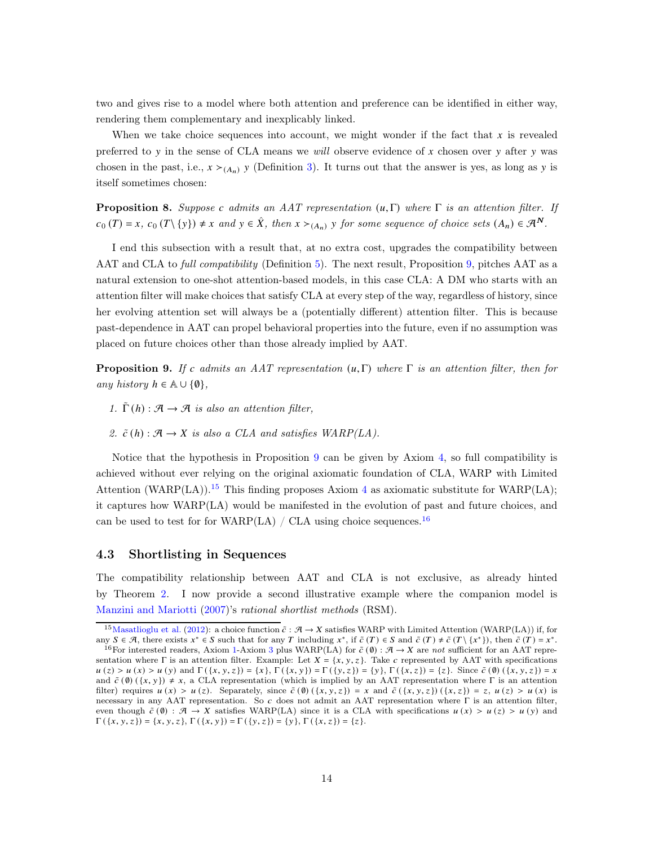two and gives rise to a model where both attention and preference can be identified in either way, rendering them complementary and inexplicably linked.

When we take choice sequences into account, we might wonder if the fact that  $x$  is revealed preferred to y in the sense of CLA means we will observe evidence of x chosen over y after y was chosen in the past, i.e.,  $x \succ_{(A_n)} y$  (Definition [3\)](#page-9-3). It turns out that the answer is yes, as long as y is itself sometimes chosen:

<span id="page-13-3"></span>**Proposition 8.** Suppose c admits an AAT representation  $(\mu, \Gamma)$  where  $\Gamma$  is an attention filter. If  $c_0(T) = x$ ,  $c_0(T\setminus\{y\}) \neq x$  and  $y \in \hat{X}$ , then  $x >_{(A_n)} y$  for some sequence of choice sets  $(A_n) \in \mathcal{A}^N$ .

I end this subsection with a result that, at no extra cost, upgrades the compatibility between AAT and CLA to *full compatibility* (Definition [5\)](#page-11-3). The next result, Proposition [9,](#page-13-0) pitches AAT as a natural extension to one-shot attention-based models, in this case CLA: A DM who starts with an attention filter will make choices that satisfy CLA at every step of the way, regardless of history, since her evolving attention set will always be a (potentially different) attention filter. This is because past-dependence in AAT can propel behavioral properties into the future, even if no assumption was placed on future choices other than those already implied by AAT.

<span id="page-13-0"></span>**Proposition 9.** If c admits an AAT representation  $(u, \Gamma)$  where  $\Gamma$  is an attention filter, then for any history  $h \in \mathbb{A} \cup \{\emptyset\},\$ 

- 1.  $\tilde{\Gamma}$  (h) :  $\mathcal{A} \rightarrow \mathcal{A}$  is also an attention filter,
- 2.  $\tilde{c}(h) : \mathcal{A} \to X$  is also a CLA and satisfies WARP(LA).

Notice that the hypothesis in Proposition [9](#page-13-0) can be given by Axiom [4,](#page-12-1) so full compatibility is achieved without ever relying on the original axiomatic foundation of CLA, WARP with Limited Attention (WARP(LA)).<sup>[15](#page-13-1)</sup> This finding proposes Axiom [4](#page-12-1) as axiomatic substitute for WARP(LA); it captures how WARP(LA) would be manifested in the evolution of past and future choices, and can be used to test for for WARP(LA) / CLA using choice sequences.<sup>[16](#page-13-2)</sup>

## 4.3 Shortlisting in Sequences

The compatibility relationship between AAT and CLA is not exclusive, as already hinted by Theorem [2.](#page-11-0) I now provide a second illustrative example where the companion model is [Manzini and Mariotti](#page-18-1) [\(2007](#page-18-1))'s rational shortlist methods (RSM).

<span id="page-13-1"></span><sup>&</sup>lt;sup>15</sup>[Masatlioglu et al.](#page-18-0) [\(2012](#page-18-0)): a choice function  $\tilde{c}: A \to X$  satisfies WARP with Limited Attention (WARP(LA)) if, for any  $S \in \mathcal{A}$ , there exists  $x^* \in S$  such that for any T including  $x^*$ , if  $\tilde{c}(T) \in S$  and  $\tilde{c}(T) \neq \tilde{c}(T \setminus \{x^*\})$ , then  $\tilde{c}(T) = x^*$ .

<span id="page-13-2"></span><sup>&</sup>lt;sup>16</sup>For interested readers, Axiom [1-](#page-5-0)Axiom [3](#page-6-1) plus WARP(LA) for  $\tilde{c}(\emptyset)$  :  $\mathcal{A} \to X$  are not sufficient for an AAT representation where Γ is an attention filter. Example: Let  $X = \{x, y, z\}$ . Take c represented by AAT with specifications  $u(z) > u(x) > u(y)$  and  $\Gamma({x, y, z}) = {x}$ ,  $\Gamma({x, y}) = \Gamma({y, z}) = {y}$ ,  $\Gamma({x, z}) = {z}$ . Since  $\tilde{c}(0)({x, y, z}) = x$ and  $\tilde{c}(\emptyset) (\{x, y\}) \neq x$ , a CLA representation (which is implied by an AAT representation where Γ is an attention filter) requires  $u(x) > u(z)$ . Separately, since  $\tilde{c}(\emptyset) (\{x, y, z\}) = x$  and  $\tilde{c}(\{x, y, z\}) (\{x, z\}) = z$ ,  $u(z) > u(x)$  is necessary in any AAT representation. So c does not admit an AAT representation where Γ is an attention filter, even though  $\tilde{c}(\theta) : \mathcal{A} \to X$  satisfies WARP(LA) since it is a CLA with specifications  $u(x) > u(z) > u(y)$  and  $\Gamma(\{x, y, z\}) = \{x, y, z\}, \Gamma(\{x, y\}) = \Gamma(\{y, z\}) = \{y\}, \Gamma(\{x, z\}) = \{z\}.$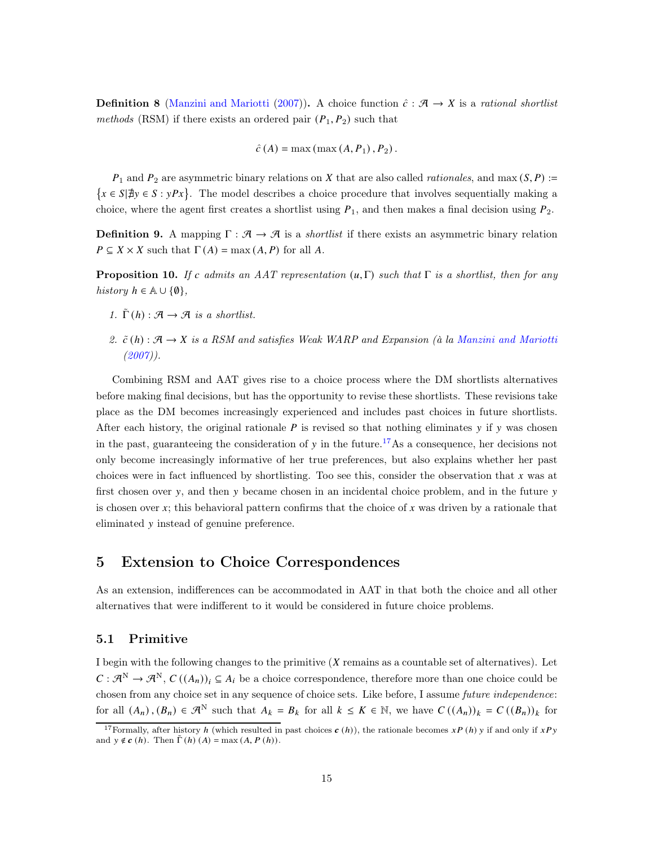**Definition 8** [\(Manzini and Mariotti](#page-18-1) [\(2007\)](#page-18-1)). A choice function  $\hat{c}: \mathcal{A} \to X$  is a rational shortlist methods (RSM) if there exists an ordered pair  $(P_1, P_2)$  such that

$$
\hat{c}(A) = \max(\max(A, P_1), P_2).
$$

 $P_1$  and  $P_2$  are asymmetric binary relations on X that are also called *rationales*, and max  $(S, P)$  :=  $\{x \in S | \nexists y \in S : yPx\}.$  The model describes a choice procedure that involves sequentially making a choice, where the agent first creates a shortlist using  $P_1$ , and then makes a final decision using  $P_2$ .

**Definition 9.** A mapping  $\Gamma : \mathcal{A} \to \mathcal{A}$  is a *shortlist* if there exists an asymmetric binary relation  $P \subseteq X \times X$  such that  $\Gamma(A) = \max(A, P)$  for all A.

<span id="page-14-0"></span>**Proposition 10.** If c admits an AAT representation  $(\mathbf{u}, \Gamma)$  such that  $\Gamma$  is a shortlist, then for any history  $h \in \mathbb{A} \cup \{\emptyset\},\$ 

- 1.  $\tilde{\Gamma}(h) : \mathcal{A} \to \mathcal{A}$  is a shortlist.
- 2.  $\tilde{c}(h)$  :  $\mathcal{A} \to X$  is a RSM and satisfies Weak WARP and Expansion (à la [Manzini and Mariotti](#page-18-1)  $(2007)$  $(2007)$ .

Combining RSM and AAT gives rise to a choice process where the DM shortlists alternatives before making final decisions, but has the opportunity to revise these shortlists. These revisions take place as the DM becomes increasingly experienced and includes past choices in future shortlists. After each history, the original rationale  $P$  is revised so that nothing eliminates  $\gamma$  if  $\gamma$  was chosen in the past, guaranteeing the consideration of y in the future.<sup>[17](#page-14-2)</sup>As a consequence, her decisions not only become increasingly informative of her true preferences, but also explains whether her past choices were in fact influenced by shortlisting. Too see this, consider the observation that  $x$  was at first chosen over  $y$ , and then  $y$  became chosen in an incidental choice problem, and in the future  $y$ is chosen over  $x$ ; this behavioral pattern confirms that the choice of  $x$  was driven by a rationale that eliminated y instead of genuine preference.

## <span id="page-14-1"></span>5 Extension to Choice Correspondences

As an extension, indifferences can be accommodated in AAT in that both the choice and all other alternatives that were indifferent to it would be considered in future choice problems.

## 5.1 Primitive

I begin with the following changes to the primitive  $(X$  remains as a countable set of alternatives). Let  $C : \mathcal{A}^N \to \mathcal{A}^N$ ,  $C((A_n))_i \subseteq A_i$  be a choice correspondence, therefore more than one choice could be chosen from any choice set in any sequence of choice sets. Like before, I assume *future independence*: for all  $(A_n)$ ,  $(B_n) \in \mathcal{A}^N$  such that  $A_k = B_k$  for all  $k \leq K \in \mathbb{N}$ , we have  $C((A_n))_k = C((B_n))_k$  for

<span id="page-14-2"></span><sup>&</sup>lt;sup>17</sup>Formally, after history *h* (which resulted in past choices  $c(h)$ ), the rationale becomes  $xP(h)$  y if and only if  $xPy$ and  $y \notin c(h)$ . Then  $\Gamma(h)(A) = \max(A, P(h))$ .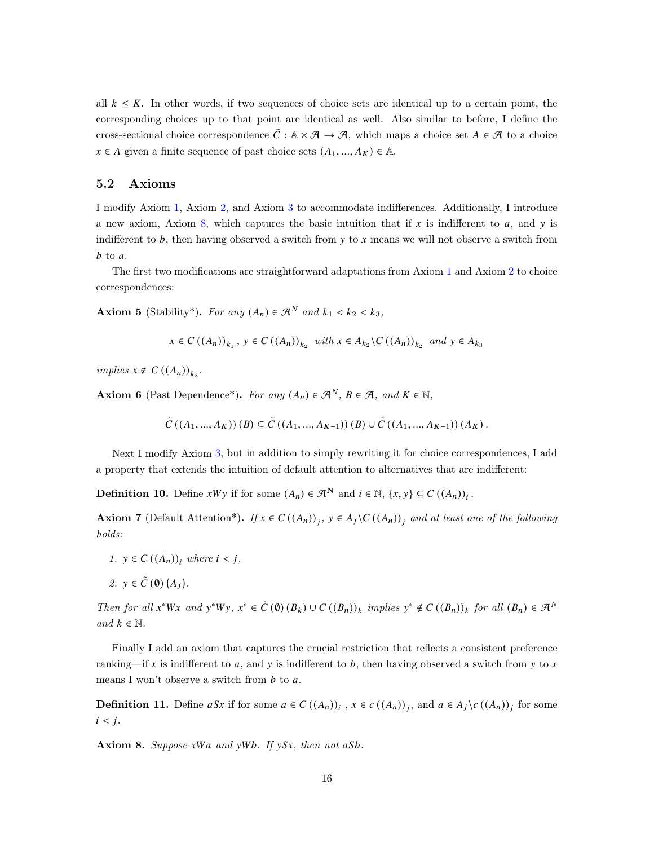all  $k \leq K$ . In other words, if two sequences of choice sets are identical up to a certain point, the corresponding choices up to that point are identical as well. Also similar to before, I define the cross-sectional choice correspondence  $\tilde{C}$  :  $A \times \mathcal{A} \to \mathcal{A}$ , which maps a choice set  $A \in \mathcal{A}$  to a choice  $x \in A$  given a finite sequence of past choice sets  $(A_1, ..., A_K) \in \mathbb{A}$ .

### 5.2 Axioms

I modify Axiom [1,](#page-5-0) Axiom [2,](#page-6-0) and Axiom [3](#page-6-1) to accommodate indifferences. Additionally, I introduce a new axiom, Axiom [8,](#page-15-0) which captures the basic intuition that if  $x$  is indifferent to  $a$ , and  $y$  is indifferent to  $b$ , then having observed a switch from  $y$  to x means we will not observe a switch from  $b$  to  $a$ .

The first two modifications are straightforward adaptations from Axiom [1](#page-5-0) and Axiom [2](#page-6-0) to choice correspondences:

<span id="page-15-1"></span>Axiom 5 (Stability\*). For any  $(A_n) \in \mathcal{A}^N$  and  $k_1 < k_2 < k_3$ ,

$$
x \in C((A_n))_{k_1}, y \in C((A_n))_{k_2}
$$
 with  $x \in A_{k_2} \backslash C((A_n))_{k_2}$  and  $y \in A_{k_3}$ 

implies  $x \notin C((A_n))_{k_3}$ .

<span id="page-15-3"></span>**Axiom 6** (Past Dependence\*). For any  $(A_n) \in \mathcal{A}^N$ ,  $B \in \mathcal{A}$ , and  $K \in \mathbb{N}$ ,

 $\tilde{C} ((A_1, ..., A_K)) (B) \subseteq \tilde{C} ((A_1, ..., A_{K-1}))(B) \cup \tilde{C} ((A_1, ..., A_{K-1}))(A_K).$ 

Next I modify Axiom [3,](#page-6-1) but in addition to simply rewriting it for choice correspondences, I add a property that extends the intuition of default attention to alternatives that are indifferent:

**Definition 10.** Define  $xWy$  if for some  $(A_n) \in \mathcal{A}^N$  and  $i \in \mathbb{N}, \{x, y\} \subseteq C((A_n))_i$ .

<span id="page-15-2"></span>Axiom 7 (Default Attention\*). If  $x \in C((A_n))_j$ ,  $y \in A_j \backslash C((A_n))_j$  and at least one of the following holds:

- 1.  $y \in C((A_n))_i$  where  $i < j$ ,
- 2.  $y \in \tilde{C}(\emptyset) (A_j)$ .

Then for all  $x^*Wx$  and  $y^*Wy$ ,  $x^* \in \tilde{C}(0)(B_k) \cup C((B_n))_k$  implies  $y^* \notin C((B_n))_k$  for all  $(B_n) \in \mathcal{A}^N$ and  $k \in \mathbb{N}$ .

Finally I add an axiom that captures the crucial restriction that reflects a consistent preference ranking—if x is indifferent to a, and y is indifferent to b, then having observed a switch from y to x means I won't observe a switch from  $b$  to  $a$ .

**Definition 11.** Define aSx if for some  $a \in C((A_n))_i$ ,  $x \in c((A_n))_j$ , and  $a \in A_j \setminus c((A_n))_j$  for some  $i < j$ .

<span id="page-15-0"></span>Axiom 8. Suppose  $xWa$  and  $yWb$ . If  $ySx$ , then not  $aSb$ .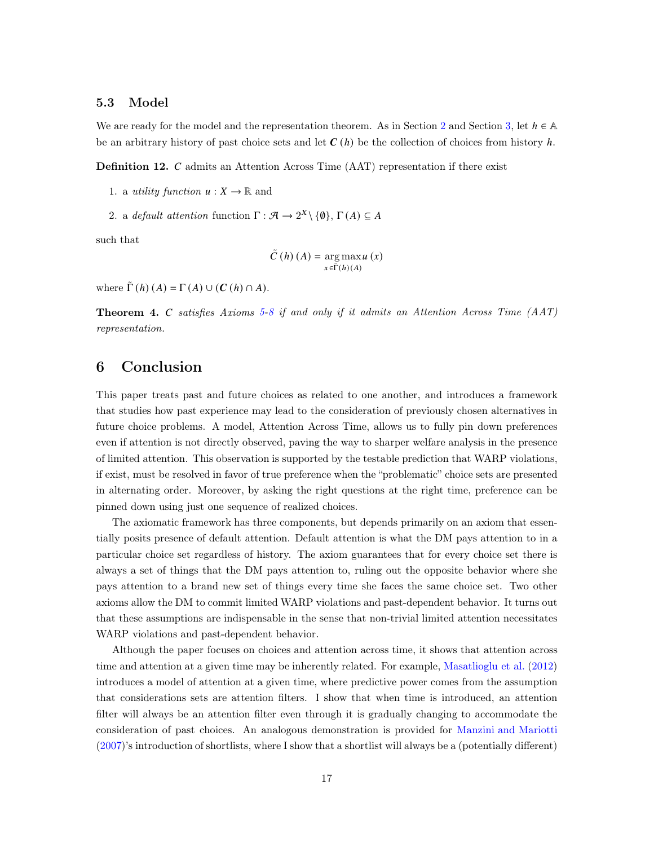## 5.3 Model

We are ready for the model and the representation theorem. As in Section [2](#page-4-0) and Section [3,](#page-7-0) let  $h \in \mathbb{A}$ be an arbitrary history of past choice sets and let  $C(h)$  be the collection of choices from history h.

**Definition 12.**  $C$  admits an Attention Across Time  $(AAT)$  representation if there exist

- 1. a *utility function*  $u: X \to \mathbb{R}$  and
- 2. a default attention function  $\Gamma : \mathcal{A} \to 2^X \setminus \{\emptyset\}, \Gamma(A) \subseteq A$

such that

$$
\tilde{C}(h)(A) = \operatorname*{arg\,max}_{x \in \tilde{\Gamma}(h)(A)} u(x)
$$

where  $\tilde{\Gamma}(h)(A) = \Gamma(A) \cup (C(h) \cap A)$ .

<span id="page-16-0"></span>**Theorem 4.** C satisfies Axioms [5](#page-15-1)[-8](#page-15-0) if and only if it admits an Attention Across Time  $(AAT)$ representation.

## 6 Conclusion

This paper treats past and future choices as related to one another, and introduces a framework that studies how past experience may lead to the consideration of previously chosen alternatives in future choice problems. A model, Attention Across Time, allows us to fully pin down preferences even if attention is not directly observed, paving the way to sharper welfare analysis in the presence of limited attention. This observation is supported by the testable prediction that WARP violations, if exist, must be resolved in favor of true preference when the "problematic" choice sets are presented in alternating order. Moreover, by asking the right questions at the right time, preference can be pinned down using just one sequence of realized choices.

The axiomatic framework has three components, but depends primarily on an axiom that essentially posits presence of default attention. Default attention is what the DM pays attention to in a particular choice set regardless of history. The axiom guarantees that for every choice set there is always a set of things that the DM pays attention to, ruling out the opposite behavior where she pays attention to a brand new set of things every time she faces the same choice set. Two other axioms allow the DM to commit limited WARP violations and past-dependent behavior. It turns out that these assumptions are indispensable in the sense that non-trivial limited attention necessitates WARP violations and past-dependent behavior.

Although the paper focuses on choices and attention across time, it shows that attention across time and attention at a given time may be inherently related. For example, [Masatlioglu et al.](#page-18-0) [\(2012](#page-18-0)) introduces a model of attention at a given time, where predictive power comes from the assumption that considerations sets are attention filters. I show that when time is introduced, an attention filter will always be an attention filter even through it is gradually changing to accommodate the consideration of past choices. An analogous demonstration is provided for [Manzini and Mariotti](#page-18-1) [\(2007\)](#page-18-1)'s introduction of shortlists, where I show that a shortlist will always be a (potentially different)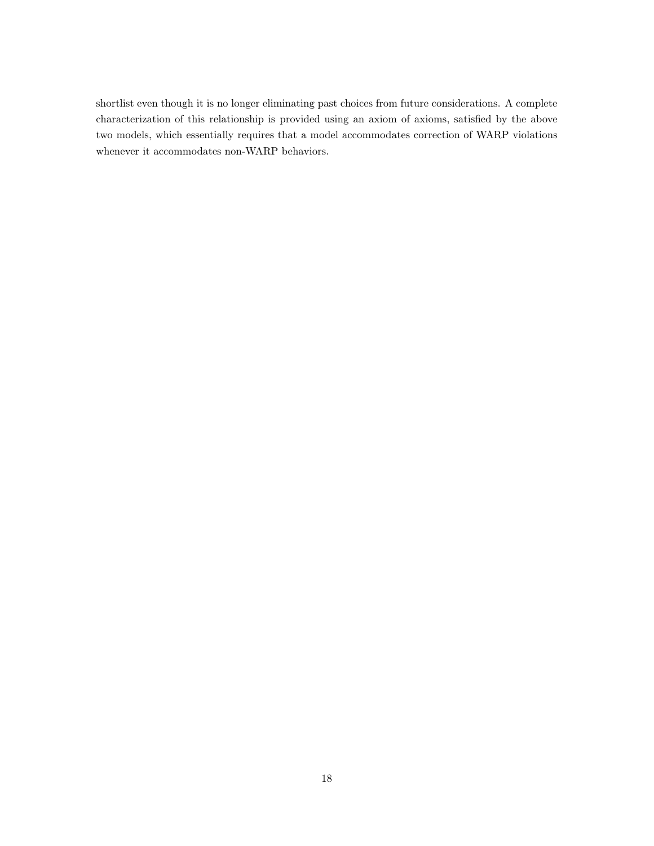shortlist even though it is no longer eliminating past choices from future considerations. A complete characterization of this relationship is provided using an axiom of axioms, satisfied by the above two models, which essentially requires that a model accommodates correction of WARP violations whenever it accommodates non-WARP behaviors.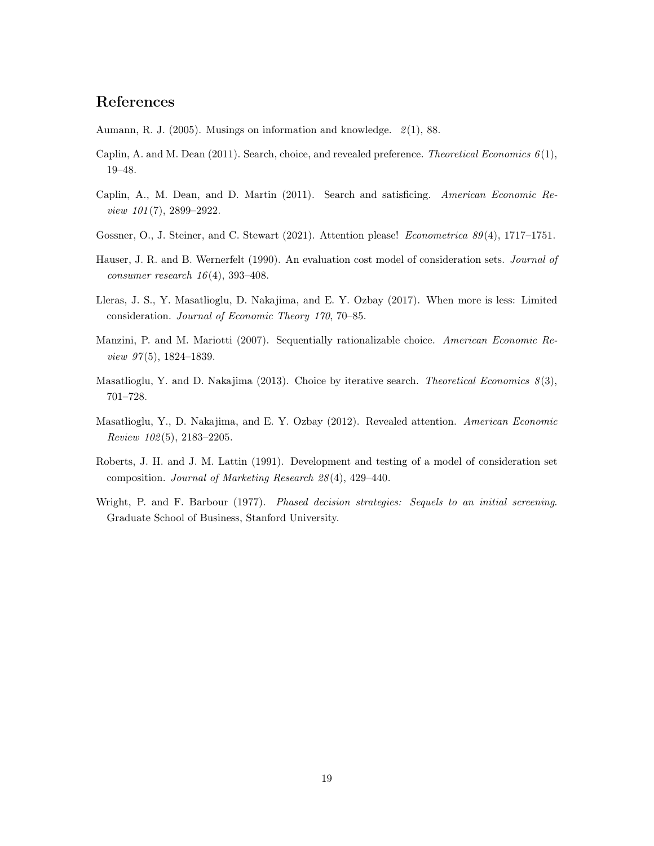# References

<span id="page-18-2"></span>Aumann, R. J. (2005). Musings on information and knowledge. 2(1), 88.

- <span id="page-18-7"></span>Caplin, A. and M. Dean  $(2011)$ . Search, choice, and revealed preference. Theoretical Economics  $6(1)$ , 19–48.
- <span id="page-18-8"></span>Caplin, A., M. Dean, and D. Martin (2011). Search and satisficing. American Economic Review 101(7), 2899-2922.
- <span id="page-18-6"></span>Gossner, O., J. Steiner, and C. Stewart (2021). Attention please! Econometrica 89(4), 1717–1751.
- <span id="page-18-4"></span>Hauser, J. R. and B. Wernerfelt (1990). An evaluation cost model of consideration sets. *Journal of* consumer research  $16(4)$ , 393-408.
- <span id="page-18-10"></span>Lleras, J. S., Y. Masatlioglu, D. Nakajima, and E. Y. Ozbay (2017). When more is less: Limited consideration. Journal of Economic Theory 170, 70–85.
- <span id="page-18-1"></span>Manzini, P. and M. Mariotti (2007). Sequentially rationalizable choice. American Economic Review 97(5), 1824–1839.
- <span id="page-18-9"></span>Masatlioglu, Y. and D. Nakajima (2013). Choice by iterative search. Theoretical Economics  $8(3)$ , 701–728.
- <span id="page-18-0"></span>Masatlioglu, Y., D. Nakajima, and E. Y. Ozbay (2012). Revealed attention. American Economic Review 102(5), 2183–2205.
- <span id="page-18-5"></span>Roberts, J. H. and J. M. Lattin (1991). Development and testing of a model of consideration set composition. Journal of Marketing Research 28(4), 429–440.
- <span id="page-18-3"></span>Wright, P. and F. Barbour (1977). Phased decision strategies: Sequels to an initial screening. Graduate School of Business, Stanford University.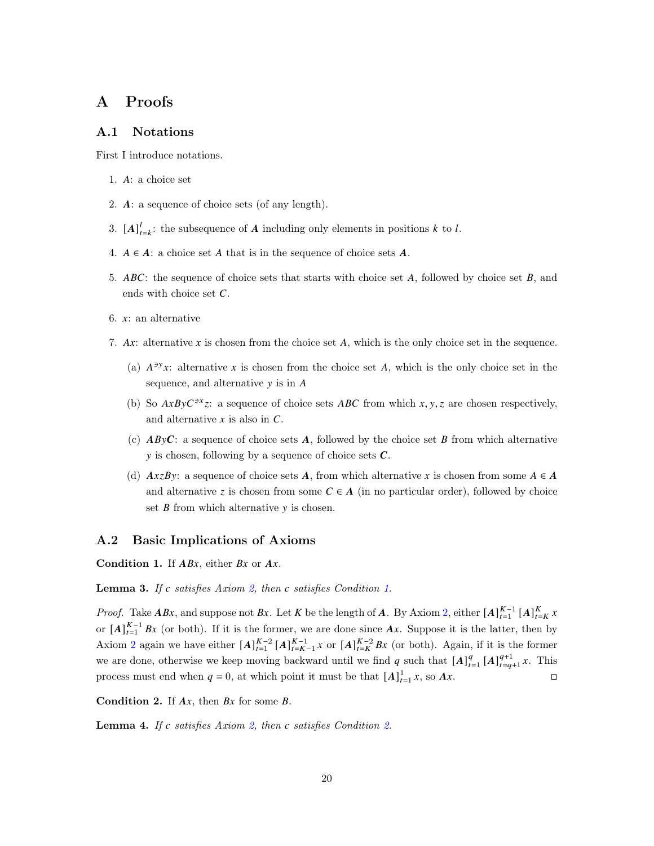## A Proofs

## A.1 Notations

First I introduce notations.

- 1. A: a choice set
- 2.  $\mathbf{A}:$  a sequence of choice sets (of any length).
- 3.  $[A]_{t=k}^l$ : the subsequence of A including only elements in positions k to l.
- 4.  $A \in A$ : a choice set A that is in the sequence of choice sets A.
- 5. ABC: the sequence of choice sets that starts with choice set A, followed by choice set  $B$ , and ends with choice set  $C$ .
- 6.  $x$ : an alternative
- 7. Ax: alternative x is chosen from the choice set A, which is the only choice set in the sequence.
	- (a)  $A^{3}yx$ : alternative x is chosen from the choice set A, which is the only choice set in the sequence, and alternative  $y$  is in  $A$
	- (b) So  $AxByC<sup>3x</sup>z$ : a sequence of choice sets  $ABC$  from which  $x, y, z$  are chosen respectively, and alternative  $x$  is also in  $C$ .
	- (c)  $AByC$ : a sequence of choice sets A, followed by the choice set B from which alternative y is chosen, following by a sequence of choice sets  $\mathcal{C}$ .
	- (d)  $AxzBy$ : a sequence of choice sets A, from which alternative x is chosen from some  $A \in A$ and alternative z is chosen from some  $C \in A$  (in no particular order), followed by choice set  $B$  from which alternative  $y$  is chosen.

## A.2 Basic Implications of Axioms

<span id="page-19-0"></span>Condition 1. If  $ABx$ , either  $Bx$  or  $Ax$ .

<span id="page-19-2"></span>**Lemma 3.** If c satisfies Axiom [2,](#page-6-0) then c satisfies Condition [1.](#page-19-0)

*Proof.* Take  $ABx$ , and suppose not  $Bx$ . Let K be the length of A. By Axiom [2,](#page-6-0) either  $[A]_{t=1}^{K-1} [A]_{t=K}^{K} x$ or  $[A]_{t=1}^{K-1} Bx$  (or both). If it is the former, we are done since  $Ax$ . Suppose it is the latter, then by Axiom [2](#page-6-0) again we have either  $[A]_{t=1}^{K-2}$   $[A]_{t=K-1}^{K-1}$  x or  $[A]_{t=K}^{K-2}$  Bx (or both). Again, if it is the former we are done, otherwise we keep moving backward until we find q such that  $[A]_{t=1}^q [A]_{t=q}^{q+1}$  $_{t=q+1}^{q+1}$  x. This process must end when  $q = 0$ , at which point it must be that  $[A]_{t=1}^1 x$ , so  $Ax$ .

<span id="page-19-1"></span>**Condition 2.** If  $Ax$ , then  $Bx$  for some  $B$ .

<span id="page-19-3"></span>**Lemma 4.** If c satisfies Axiom [2,](#page-6-0) then c satisfies Condition [2.](#page-19-1)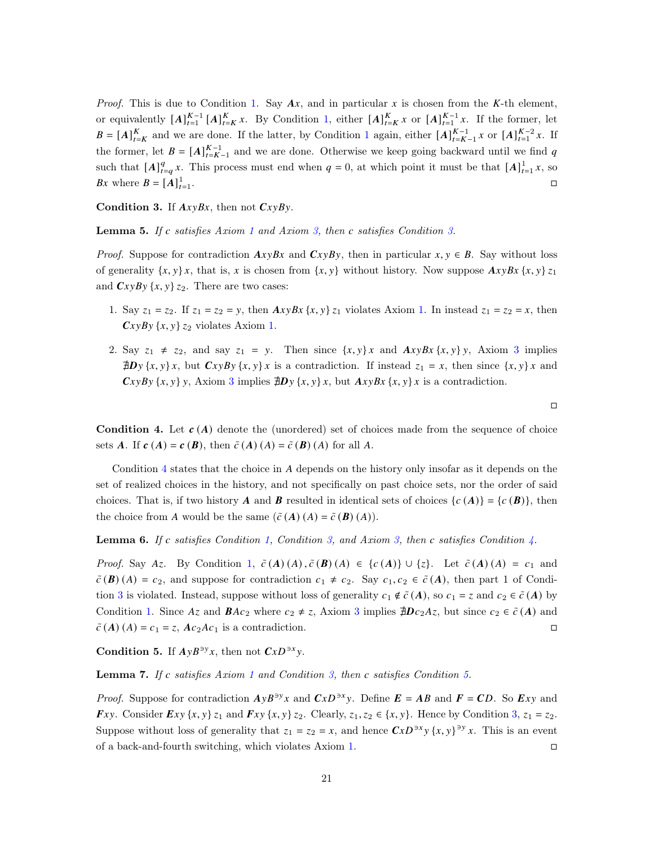*Proof.* This is due to Condition [1.](#page-19-0) Say  $Ax$ , and in particular x is chosen from the K-th element, or equivalently  $[A]_{t=1}^{K-1} [A]_{t=K}^{K} x$ . By Condition [1,](#page-19-0) either  $[A]_{t=K}^{K} x$  or  $[A]_{t=1}^{K-1} x$ . If the former, let  $B = [A]_{t=K}^{K}$  and we are done. If the latter, by Condition [1](#page-19-0) again, either  $[A]_{t=K-1}^{K-1}$  x or  $[A]_{t=1}^{K-2}$  x. If the former, let  $B = [A]_{t=K-1}^{K-1}$  and we are done. Otherwise we keep going backward until we find q such that  $[A]_{t=q}^q x$ . This process must end when  $q = 0$ , at which point it must be that  $[A]_{t=1}^1 x$ , so Bx where  $B = [A]_{t=1}^1$ .<br>1980 - Paul Barbara, politikar eta biztanleria (h. 1980).<br>1980 - Johann John Barbara, politikar eta biztanleria (h. 1980).

<span id="page-20-0"></span>Condition 3. If  $AxyBx$ , then not  $CxyBy$ .

**Lemma 5.** If c satisfies Axiom [1](#page-5-0) and Axiom [3,](#page-6-1) then c satisfies Condition [3.](#page-20-0)

*Proof.* Suppose for contradiction  $AxyBx$  and  $CxyBy$ , then in particular  $x, y \in B$ . Say without loss of generality  $\{x, y\}$ , that is, x is chosen from  $\{x, y\}$  without history. Now suppose  $AxyBx \{x, y\}$   $z_1$ and  $CxyBy \{x, y\} z_2$ . There are two cases:

- [1.](#page-5-0) Say  $z_1 = z_2$ . If  $z_1 = z_2 = y$ , then  $AxyBx \{x, y\} z_1$  violates Axiom 1. In instead  $z_1 = z_2 = x$ , then  $CxyBy\{x, y\}$   $z_2$  violates Axiom [1.](#page-5-0)
- 2. Say  $z_1 \neq z_2$ , and say  $z_1 = y$ . Then since  $\{x, y\}x$  and  $AxyBx \{x, y\}y$ , Axiom [3](#page-6-1) implies  $\exists D y \{x, y\} x$ , but  $CxyBy \{x, y\} x$  is a contradiction. If instead  $z_1 = x$ , then since  $\{x, y\} x$  and  $CxyBy \{x, y\}$ , Axiom [3](#page-6-1) implies  $\sharp Dy \{x, y\}$ , but  $AxyBx \{x, y\}$  is a contradiction.

<span id="page-20-1"></span>**Condition 4.** Let  $c(A)$  denote the (unordered) set of choices made from the sequence of choice sets **A**. If  $c(A) = c(B)$ , then  $\tilde{c}(A)(A) = \tilde{c}(B)(A)$  for all A.

Condition  $4$  states that the choice in  $A$  depends on the history only insofar as it depends on the set of realized choices in the history, and not specifically on past choice sets, nor the order of said choices. That is, if two history **A** and **B** resulted in identical sets of choices  $\{c(\mathbf{A})\} = \{c(\mathbf{B})\}$ , then the choice from A would be the same  $(\tilde{c}(A)(A) = \tilde{c}(B)(A)).$ 

**Lemma 6.** If c satisfies Condition [1,](#page-19-0) Condition [3,](#page-6-1) and Axiom 3, then c satisfies Condition [4.](#page-20-1)

*Proof.* Say Az. By Condition [1,](#page-19-0)  $\tilde{c}(A)(A), \tilde{c}(B)(A) \in \{c(A)\} \cup \{z\}$ . Let  $\tilde{c}(A)(A) = c_1$  and  $\tilde{c}(\mathbf{B})(A) = c_2$ , and suppose for contradiction  $c_1 \neq c_2$ . Say  $c_1, c_2 \in \tilde{c}(A)$ , then part 1 of Condi-tion [3](#page-20-0) is violated. Instead, suppose without loss of generality  $c_1 \notin \tilde{c}(A)$ , so  $c_1 = z$  and  $c_2 \in \tilde{c}(A)$  by Condition [1.](#page-19-0) Since  $Az$  and  $BAc_2$  where  $c_2 \neq z$ , Axiom [3](#page-6-1) implies  $\sharp Dc_2Az$ , but since  $c_2 \in \tilde{c}(A)$  and  $\tilde{c}(\mathbf{A}) (\mathbf{A}) = c_1 = z$ ,  $\mathbf{A} c_2 \mathbf{A} c_1$  is a contradiction.

<span id="page-20-2"></span>Condition 5. If  $AyB^{3y}x$ , then not  $CxD^{3x}y$ .

<span id="page-20-3"></span>**Lemma 7.** If c satisfies Axiom [1](#page-5-0) and Condition [3,](#page-20-0) then c satisfies Condition [5.](#page-20-2)

*Proof.* Suppose for contradiction  $AyB^{y}x$  and  $CxD^{y}xy$ . Define  $E = AB$  and  $F = CD$ . So Exy and  $\boldsymbol{F}$ xy. Consider  $\boldsymbol{E}$ xy  $\{x, y\}$   $z_1$  and  $\boldsymbol{F}$ xy  $\{x, y\}$   $z_2$ . Clearly,  $z_1$ ,  $z_2 \in \{x, y\}$ . Hence by Condition [3,](#page-20-0)  $z_1 = z_2$ . Suppose without loss of generality that  $z_1 = z_2 = x$ , and hence  $CxD^{3x}y \{x, y\}^{3y}x$ . This is an event of a back-and-fourth switching, which violates Axiom [1.](#page-5-0)

 $\Box$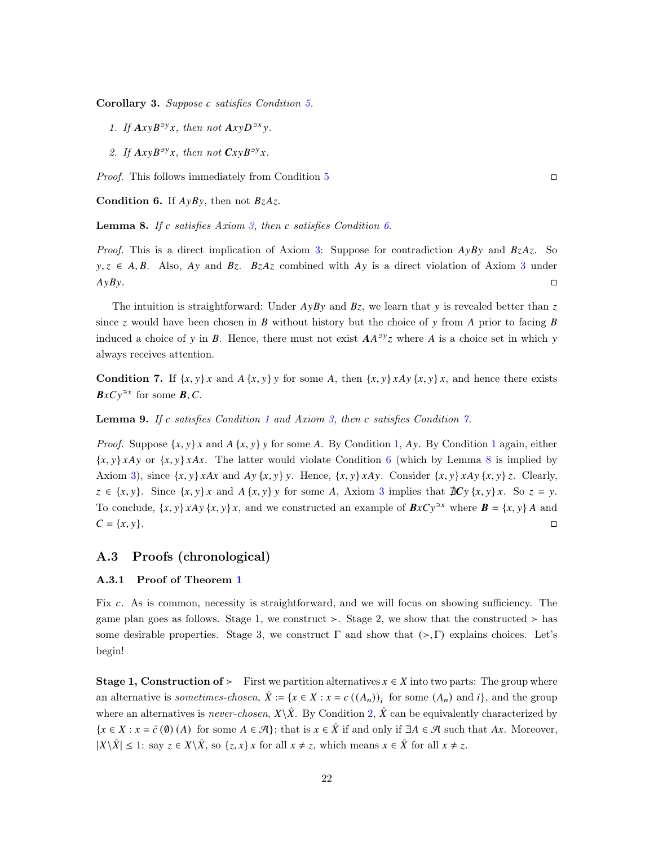Corollary 3. Suppose c satisfies Condition [5.](#page-20-2)

- 1. If  $AxyB^{y}x$ , then not  $AxyD^{y}x$ .
- 2. If  $AxyB^{y}x$ , then not  $CxyB^{y}x$ .

Proof. This follows immediately from Condition [5](#page-20-2)

<span id="page-21-0"></span>Condition 6. If  $A y B y$ , then not  $BzAz$ .

<span id="page-21-2"></span>**Lemma 8.** If c satisfies Axiom [3,](#page-6-1) then c satisfies Condition  $6$ .

*Proof.* This is a direct implication of Axiom [3:](#page-6-1) Suppose for contradiction  $AyBy$  and  $BzAz$ . So  $y, z \in A, B$ . Also, Ay and Bz. BzAz combined with Ay is a direct violation of Axiom [3](#page-6-1) under  $AyBy.$ 

The intuition is straightforward: Under  $A\gamma By$  and  $B\gamma$ , we learn that  $\gamma$  is revealed better than  $\gamma$ since z would have been chosen in  $B$  without history but the choice of y from  $A$  prior to facing  $B$ induced a choice of y in B. Hence, there must not exist  $AA^{3y}z$  where A is a choice set in which y always receives attention.

<span id="page-21-1"></span>**Condition 7.** If  $\{x, y\}x$  and  $A\{x, y\}y$  for some A, then  $\{x, y\}xAy\{x, y\}x$ , and hence there exists  $B \times Cy^{3x}$  for some  $B, C$ .

**Lemma 9.** If c satisfies Condition [1](#page-19-0) and Axiom [3,](#page-6-1) then c satisfies Condition [7.](#page-21-1)

*Proof.* Suppose  $\{x, y\}$  and  $A \{x, y\}$  for some A. By Condition [1,](#page-19-0) Ay. By Condition [1](#page-19-0) again, either  ${x, y} xAy$  or  ${x, y} xAx$ . The latter would violate Condition [6](#page-21-0) (which by Lemma [8](#page-21-2) is implied by Axiom [3\)](#page-6-1), since  $\{x, y\}$   $\lambda Ax$  and  $Ay \{x, y\}$ . Hence,  $\{x, y\}$   $\lambda Ay$ . Consider  $\{x, y\}$   $\lambda Ay \{x, y\}$ . Clearly,  $z \in \{x, y\}$ . Since  $\{x, y\}x$  and  $A \{x, y\}y$  for some A, Axiom [3](#page-6-1) implies that  $\sharp C y \{x, y\}x$ . So  $z = y$ . To conclude,  $\{x, y\}$   $xAy \{x, y\}$ , and we constructed an example of  $BxCy^{3x}$  where  $B = \{x, y\}$  A and  $C = \{x, y\}.$ 

## A.3 Proofs (chronological)

### A.3.1 Proof of Theorem [1](#page-7-1)

Fix c. As is common, necessity is straightforward, and we will focus on showing sufficiency. The game plan goes as follows. Stage 1, we construct ≻. Stage 2, we show that the constructed  $>$  has some desirable properties. Stage 3, we construct  $\Gamma$  and show that  $(\succ, \Gamma)$  explains choices. Let's begin!

**Stage 1, Construction of >** First we partition alternatives  $x \in X$  into two parts: The group where an alternative is *sometimes-chosen*,  $\hat{X} := \{x \in X : x = c((A_n))_i\}$  for some  $(A_n)$  and  $i\}$ , and the group where an alternatives is never-chosen,  $X\backslash \hat{X}$ . By Condition [2,](#page-19-1)  $\hat{X}$  can be equivalently characterized by  $\{x \in X : x = \tilde{c}(0) \}$  (A) for some  $A \in \mathcal{A}\}$ ; that is  $x \in \tilde{X}$  if and only if  $\exists A \in \mathcal{A}$  such that Ax. Moreover,  $|X \setminus \hat{X}| \leq 1$ : say  $z \in X \setminus \hat{X}$ , so  $\{z, x\}$  *x* for all  $x \neq z$ , which means  $x \in \hat{X}$  for all  $x \neq z$ .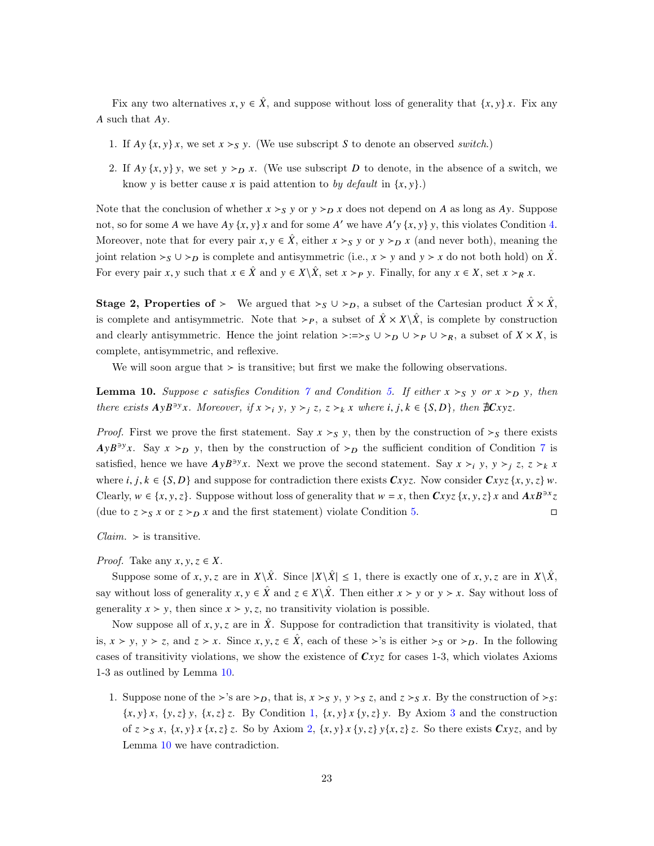Fix any two alternatives  $x, y \in \hat{X}$ , and suppose without loss of generality that  $\{x, y\}$ . Fix any  $\Lambda$  such that  $Av$ .

- 1. If  $Ay\{x, y\}x$ , we set  $x > S$  y. (We use subscript S to denote an observed switch.)
- 2. If  $Ay\{x, y\}$ , we set  $y \succ_D x$ . (We use subscript D to denote, in the absence of a switch, we know y is better cause x is paid attention to by default in  $\{x, y\}$ .

Note that the conclusion of whether  $x >_{S} y$  or  $y >_{D} x$  does not depend on A as long as Ay. Suppose not, so for some A we have  $Ay\{x, y\}x$  and for some A' we have  $A'y\{x, y\}y$ , this violates Condition [4.](#page-20-1) Moreover, note that for every pair  $x, y \in \hat{X}$ , either  $x >_{S} y$  or  $y >_{D} x$  (and never both), meaning the joint relation  $\succ_S \cup \succ_D$  is complete and antisymmetric (i.e.,  $x \succ y$  and  $y \succ x$  do not both hold) on  $\overline{X}$ . For every pair x, y such that  $x \in \hat{X}$  and  $y \in X \setminus \hat{X}$ , set  $x >_P y$ . Finally, for any  $x \in X$ , set  $x >_R x$ .

**Stage 2, Properties of** ≻ We argued that  $\succ_S \cup \succ_D$ , a subset of the Cartesian product  $\hat{X} \times \hat{X}$ , is complete and antisymmetric. Note that ≻ $_P$ , a subset of  $\hat{X} \times X \backslash \hat{X}$ , is complete by construction and clearly antisymmetric. Hence the joint relation  $\succ:=\succ_S \cup \succ_P \cup \succ_R$ , a subset of  $X \times X$ , is complete, antisymmetric, and reflexive.

We will soon argue that  $\geq$  is transitive; but first we make the following observations.

<span id="page-22-0"></span>**Lemma 10.** Suppose c satisfies Condition [7](#page-21-1) and Condition [5.](#page-20-2) If either  $x \succ_S y$  or  $x \succ_D y$ , then there exists  $AyB^{3y}x$ . Moreover, if  $x >_i y$ ,  $y >_j z$ ,  $z >_k x$  where  $i, j, k \in \{S, D\}$ , then  $\#Cxyz$ .

*Proof.* First we prove the first statement. Say  $x >_{S} y$ , then by the construction of  $\succ_{S}$  there exists  $AyB^{3y}x$ . Say  $x >_D y$ , then by the construction of  $\geq_D$  the sufficient condition of Condition [7](#page-21-1) is satisfied, hence we have  $AyB^{3y}x$ . Next we prove the second statement. Say  $x \succ_i y$ ,  $y \succ_j z$ ,  $z \succ_k x$ where *i*,  $j, k \in \{S, D\}$  and suppose for contradiction there exists  $Cxyz$ . Now consider  $Cxyz\{x, y, z\}$  w. Clearly,  $w \in \{x, y, z\}$ . Suppose without loss of generality that  $w = x$ , then  $Cxyz \{x, y, z\} x$  and  $AxB^{3x}z$ (due to  $z >_S x$  or  $z >_D x$  and the first statement) violate Condition [5.](#page-20-2)

 $Claim. >$  is transitive.

#### *Proof.* Take any  $x, y, z \in X$ .

Suppose some of x, y, z are in  $X\setminus\hat{X}$ . Since  $|X\setminus\hat{X}| \leq 1$ , there is exactly one of x, y, z are in  $X\setminus\hat{X}$ , say without loss of generality  $x, y \in \hat{X}$  and  $z \in X \backslash \hat{X}$ . Then either  $x > y$  or  $y > x$ . Say without loss of generality  $x \succ y$ , then since  $x \succ y$ , z, no transitivity violation is possible.

Now suppose all of  $x, y, z$  are in  $\hat{X}$ . Suppose for contradiction that transitivity is violated, that is,  $x > y$ ,  $y > z$ , and  $z > x$ . Since  $x, y, z \in \hat{X}$ , each of these ≻'s is either ≻<sub>S</sub> or ≻<sub>D</sub>. In the following cases of transitivity violations, we show the existence of  $Cxyz$  for cases 1-3, which violates Axioms 1-3 as outlined by Lemma [10.](#page-22-0)

1. Suppose none of the ≻'s are  $\succ_D$ , that is,  $x \succ_S y$ ,  $y \succ_S z$ , and  $z \succ_S x$ . By the construction of  $\succ_S$ :  ${x, y} x, {y, z} y, {x, z} z$ . By Condition [1,](#page-19-0)  ${x, y} x {y, z} y$ . By Axiom [3](#page-6-1) and the construction of  $z >_S x$ ,  $\{x, y\} x$   $\{x, z\} z$ . So by Axiom [2,](#page-6-0)  $\{x, y\} x$   $\{y, z\} y$ ,  $\{x, z\} z$ . So there exists  $Cxyz$ , and by Lemma [10](#page-22-0) we have contradiction.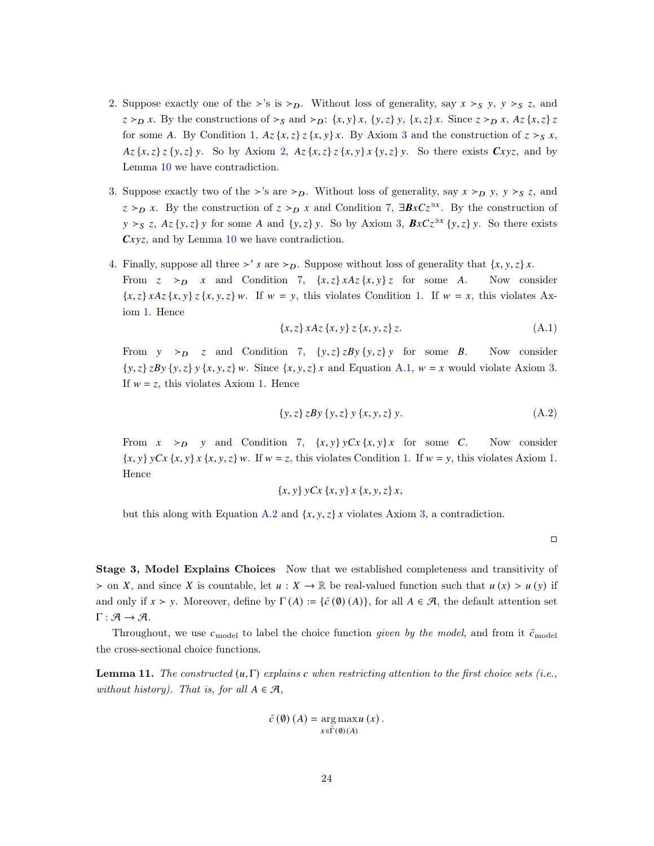- 2. Suppose exactly one of the ≻'s is ≻<sub>D</sub>. Without loss of generality, say  $x >_S y$ ,  $y >_S z$ , and  $z > p x$ . By the constructions of  $\succ_S$  and  $\succ_D$ :  $\{x, y\}x$ ,  $\{y, z\}y$ ,  $\{x, z\}x$ . Since  $z > p x$ ,  $Az \{x, z\}z$ for some A. By Condition [1,](#page-19-0)  $Az\{x,z\}z\{x,y\}x$ . By Axiom [3](#page-6-1) and the construction of  $z \succ_S x$ ,  $Az\{x,z\}z\{y,z\}y$ . So by Axiom [2,](#page-6-0)  $Az\{x,z\}z\{x,y\}x\{y,z\}y$ . So there exists  $Cxyz$ , and by Lemma [10](#page-22-0) we have contradiction.
- 3. Suppose exactly two of the ≻'s are ≻ $_D$ . Without loss of generality, say  $x >_D y$ ,  $y >_S z$ , and  $z >_{D} x$ . By the construction of  $z >_{D} x$  and Condition [7,](#page-21-1)  $\exists BxCz^{\exists x}$ . By the construction of  $y >_S z$ ,  $Az \{y, z\} y$  for some A and  $\{y, z\} y$ . So by Axiom [3,](#page-6-1)  $BxCz^{3x} \{y, z\} y$ . So there exists  $Cxyz$ , and by Lemma [10](#page-22-0) we have contradiction.
- 4. Finally, suppose all three  $\succ' s$  are  $\succ_D$ . Suppose without loss of generality that  $\{x, y, z\}$ . From  $z \gt_D x$  and Condition [7,](#page-21-1)  $\{x, z\} x A z \{x, y\} z$  for some A. Now consider  ${x, z} x A z {x, y} z {x, y, z} w$ . If  $w = y$ , this violates Condition [1.](#page-19-0) If  $w = x$ , this violates Axiom [1.](#page-5-0) Hence

<span id="page-23-0"></span>
$$
\{x, z\} \, x \, Az \, \{x, y\} \, z \, \{x, y, z\} \, z. \tag{A.1}
$$

From  $y \gt_D z$  and Condition [7,](#page-21-1)  $\{y, z\} zBy \{y, z\} y$  for some B. Now consider  $\{y, z\}$   $\{By\{y, z\} \mid \{x, y, z\} \mid w$ . Since  $\{x, y, z\}$  and Equation [A.1,](#page-23-0)  $w = x$  would violate Axiom [3.](#page-6-1) If  $w = z$ , this violates Axiom [1.](#page-5-0) Hence

<span id="page-23-1"></span>
$$
\{y, z\} zBy \{y, z\} y \{x, y, z\} y. \tag{A.2}
$$

From  $x \gt_{D} y$  and Condition [7,](#page-21-1)  $\{x, y\} y \mathbb{C} x \{x, y\} x$  for some C. Now consider  ${x, y} y C x {x, y} x {x, y, z} w$ . If  $w = z$ , this violates Condition [1.](#page-5-0) If  $w = y$ , this violates Axiom 1. Hence

$$
\{x, y\} yCx \{x, y\} x \{x, y, z\} x,
$$

but this along with Equation [A.2](#page-23-1) and  $\{x, y, z\}$  violates Axiom [3,](#page-6-1) a contradiction.

 $\Box$ 

Stage 3, Model Explains Choices Now that we established completeness and transitivity of  $>$  on X, and since X is countable, let  $u : X \to \mathbb{R}$  be real-valued function such that  $u(x) > u(y)$  if and only if  $x > y$ . Moreover, define by  $\Gamma(A) := {\tilde{c}(\emptyset)(A)}$ , for all  $A \in \mathcal{A}$ , the default attention set  $\Gamma : \mathcal{A} \to \mathcal{A}.$ 

Throughout, we use  $c_{\text{model}}$  to label the choice function given by the model, and from it  $\tilde{c}_{\text{model}}$ the cross-sectional choice functions.

<span id="page-23-2"></span>**Lemma 11.** The constructed  $(u, \Gamma)$  explains c when restricting attention to the first choice sets (i.e., without history). That is, for all  $A \in \mathcal{A}$ ,

$$
\tilde{c}\left(\emptyset\right)\left(A\right)=\underset{x\in\tilde{\Gamma}\left(\emptyset\right)\left(A\right)}{\arg\max u\left(x\right)}\,.
$$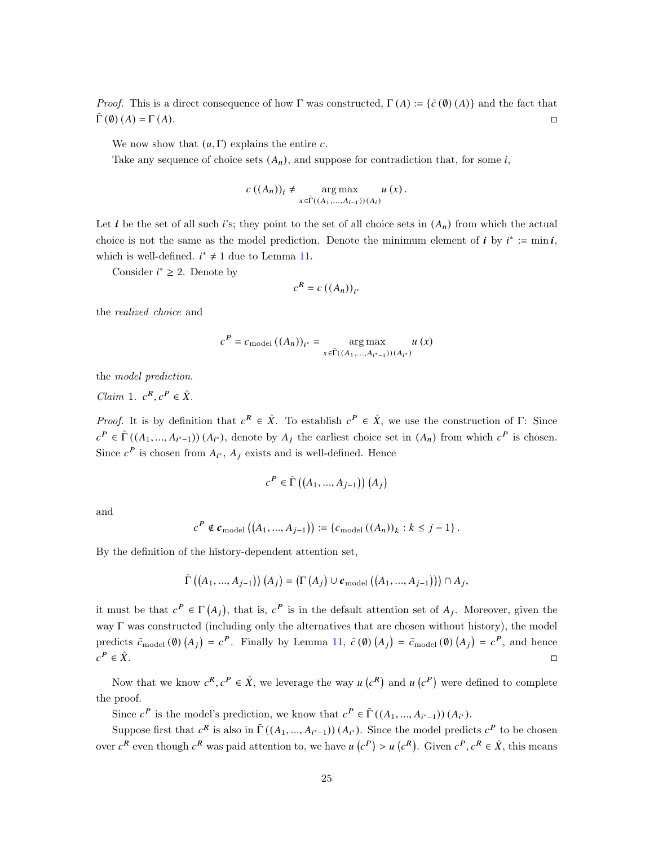*Proof.* This is a direct consequence of how Γ was constructed,  $\Gamma(A) := {\{\tilde{c}(0)(A)\}}$  and the fact that  $\Gamma$  (0) (A) =  $\Gamma$  (A).

We now show that  $(u, \Gamma)$  explains the entire c.

Take any sequence of choice sets  $(A_n)$ , and suppose for contradiction that, for some i,

$$
c\left(\left(A_n\right)\right)_i \neq \underset{x \in \widetilde{\Gamma}\left(\left(A_1,\ldots,A_{i-1}\right)\right)\left(A_i\right)}{\arg \max} u\left(x\right).
$$

Let i be the set of all such i's; they point to the set of all choice sets in  $(A_n)$  from which the actual choice is not the same as the model prediction. Denote the minimum element of  $i$  by  $i^* := \min i$ , which is well-defined.  $i^* \neq 1$  due to Lemma [11.](#page-23-2)

Consider  $i^* \geq 2$ . Denote by

$$
c^R = c\left((A_n)\right)_{i^*}
$$

the realized choice and

$$
c^P = c_{\mathrm{model}} \left( (A_n) \right)_{i^*} = \operatorname*{arg\,max}_{x \in \widetilde{\Gamma}((A_1, \ldots, A_{i^* - 1})) (A_{i^*})} u \left( x \right)
$$

the model prediction.

*Claim* 1.  $c^R$ ,  $c^P \in \hat{X}$ .

*Proof.* It is by definition that  $c^R \in \hat{X}$ . To establish  $c^P \in \hat{X}$ , we use the construction of  $\Gamma$ : Since  $c^P \in \tilde{\Gamma}((A_1, ..., A_{i^*-1})) (A_{i^*})$ , denote by  $A_j$  the earliest choice set in  $(A_n)$  from which  $c^P$  is chosen. Since  $c^P$  is chosen from  $A_{i^*}$ ,  $A_j$  exists and is well-defined. Hence

$$
c^{P} \in \tilde{\Gamma}\left(\left(A_{1},...,A_{j-1}\right)\right)\left(A_{j}\right)
$$

and

$$
c^{P} \notin \mathbf{c}_{\text{model}}\left((A_{1},...,A_{j-1})\right) := \{c_{\text{model}}\left((A_{n})\right)_{k} : k \leq j-1\}.
$$

By the definition of the history-dependent attention set,

$$
\tilde{\Gamma}\left(\left(A_1,\ldots,A_{j-1}\right)\right)\left(A_j\right)=\left(\Gamma\left(A_j\right)\cup{\boldsymbol{c}}_{\mathrm{model}}\left(\left(A_1,\ldots,A_{j-1}\right)\right)\right)\cap A_j,
$$

it must be that  $c^P \in \Gamma(A_j)$ , that is,  $c^P$  is in the default attention set of  $A_j$ . Moreover, given the way Γ was constructed (including only the alternatives that are chosen without history), the model predicts  $\tilde{c}_{\text{model}}(\emptyset) (A_j) = c^P$ . Finally by Lemma [11,](#page-23-2)  $\tilde{c}(\emptyset) (A_j) = \tilde{c}_{\text{model}}(\emptyset) (A_j) = c^P$ , and hence  $c^P \in \hat{X}$ .  $P \in \hat{X}$ .

Now that we know  $c^R$ ,  $c^P \in \hat{X}$ , we leverage the way  $u(c^R)$  and  $u(c^P)$  were defined to complete the proof.

Since  $c^P$  is the model's prediction, we know that  $c^P \in \tilde{\Gamma}((A_1, ..., A_{i^*-1}))(A_{i^*}).$ 

Suppose first that  $c^R$  is also in  $\tilde{\Gamma}((A_1, ..., A_{i^*-1})) (A_{i^*})$ . Since the model predicts  $c^P$  to be chosen over  $c^R$  even though  $c^R$  was paid attention to, we have  $u(c^P) > u(c^R)$ . Given  $c^P, c^R \in \hat{X}$ , this means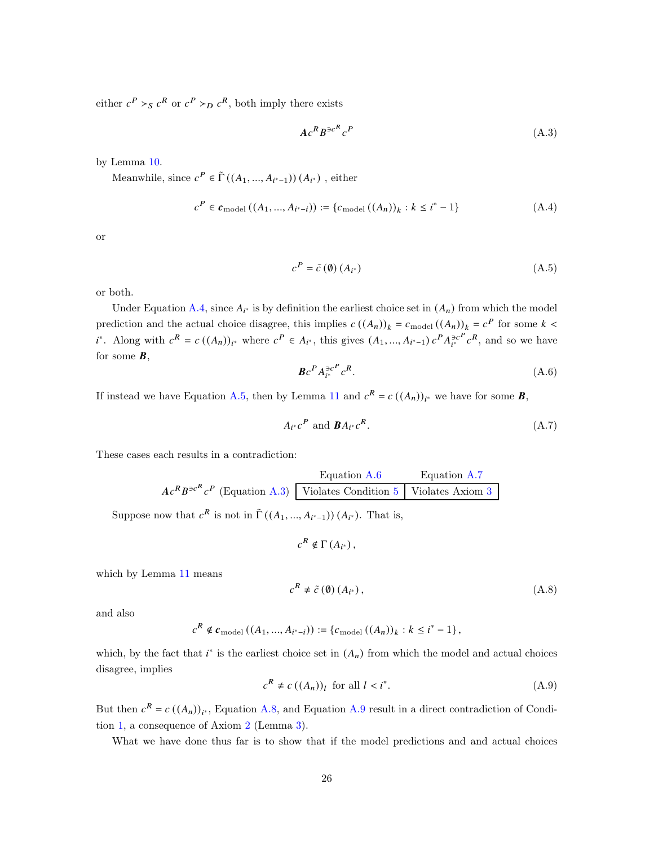either  $c^P >_S c^R$  or  $c^P >_D c^R$ , both imply there exists

<span id="page-25-4"></span>
$$
Ac^R B^{\ni c^R} c^P \tag{A.3}
$$

by Lemma [10.](#page-22-0)

Meanwhile, since  $c^P \in \tilde{\Gamma}((A_1, ..., A_{i^*-1})) (A_{i^*})$ , either

<span id="page-25-0"></span>
$$
c^{P} \in \mathbf{c}_{\text{model}}((A_1, ..., A_{i^*-i})) := \{c_{\text{model}}((A_n))_k : k \le i^*-1\}
$$
 (A.4)

or

<span id="page-25-1"></span>
$$
c^P = \tilde{c} \left( \emptyset \right) \left( A_{i^*} \right) \tag{A.5}
$$

or both.

Under Equation [A.4,](#page-25-0) since  $A_{i^*}$  is by definition the earliest choice set in  $(A_n)$  from which the model prediction and the actual choice disagree, this implies  $c((A_n))_k = c_{\text{model}}((A_n))_k = c^P$  for some  $k <$  $i^*$ . Along with  $c^R = c((A_n))_{i^*}$  where  $c^P \in A_{i^*}$ , this gives  $(A_1, ..., A_{i^*-1}) c^P A_{i^*}^{\ni c^P}$  $\bar{e}^{r}$  $c^{R}$ , and so we have for some  $\mathbf{B}$ ,

<span id="page-25-2"></span>
$$
\boldsymbol{B}c^{\boldsymbol{P}}A_{i^*}^{\exists c^{\boldsymbol{P}}}c^{\boldsymbol{R}}.
$$

If instead we have Equation [A.5,](#page-25-1) then by Lemma [11](#page-23-2) and  $c^R = c((A_n))_{i^*}$  we have for some **B**,

<span id="page-25-3"></span>
$$
A_{i^*}c^P \text{ and } \mathbf{B}A_{i^*}c^R. \tag{A.7}
$$

These cases each results in a contradiction:

Equation A.6 Equation A.7  
\n
$$
Ac^RB^{\ni c^R}c^P
$$
 (Equation A.3)   
\n $\boxed{\text{Violates Condition 5}}$    
\n $\boxed{\text{Violates Axiom 3}}$ 

Suppose now that  $c^R$  is not in  $\tilde{\Gamma}((A_1, ..., A_{i^*-1}))(A_{i^*})$ . That is,

$$
c^R \notin \Gamma(A_{i^*}),
$$

which by Lemma [11](#page-23-2) means

<span id="page-25-5"></span>
$$
c^{R} \neq \tilde{c} \left( \emptyset \right) \left( A_{i^*} \right), \tag{A.8}
$$

and also

$$
c^{R} \notin \mathbf{c}_{\text{model}}((A_{1},...,A_{i^{*}-i})) := \{c_{\text{model}}((A_{n}))_{k} : k \leq i^{*}-1\},\
$$

which, by the fact that  $i^*$  is the earliest choice set in  $(A_n)$  from which the model and actual choices disagree, implies

<span id="page-25-6"></span>
$$
c^{R} \neq c \left( (A_{n}) \right)_{l} \text{ for all } l < i^{*}. \tag{A.9}
$$

But then  $c^R = c((A_n))_{i^*}$ , Equation [A.8,](#page-25-5) and Equation [A.9](#page-25-6) result in a direct contradiction of Condition [1,](#page-19-0) a consequence of Axiom [2](#page-6-0) (Lemma [3\)](#page-19-2).

What we have done thus far is to show that if the model predictions and and actual choices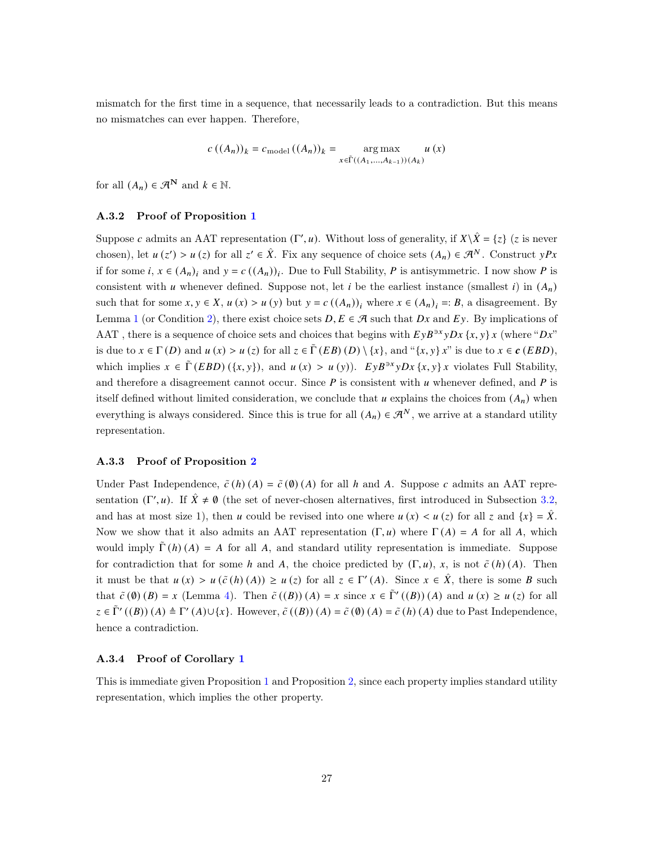mismatch for the first time in a sequence, that necessarily leads to a contradiction. But this means no mismatches can ever happen. Therefore,

$$
c\left(\left(A_{n}\right)\right)_{k} = c_{\text{model}}\left(\left(A_{n}\right)\right)_{k} = \underset{x \in \tilde{\Gamma}\left(\left(A_{1}, \ldots, A_{k-1}\right)\right)\left(A_{k}\right)}{\arg\max} u\left(x\right)
$$

for all  $(A_n) \in \mathcal{A}^N$  and  $k \in \mathbb{N}$ .

### A.3.2 Proof of Proposition [1](#page-8-0)

Suppose c admits an AAT representation (Γ', u). Without loss of generality, if  $X\setminus\hat{X} = \{z\}$  (z is never chosen), let  $u(z') > u(z)$  for all  $z' \in \hat{X}$ . Fix any sequence of choice sets  $(A_n) \in \mathcal{A}^N$ . Construct  $yPx$ if for some  $i, x \in (A_n)_i$  and  $y = c((A_n))_i$ . Due to Full Stability, P is antisymmetric. I now show P is consistent with  $u$  whenever defined. Suppose not, let  $i$  be the earliest instance (smallest  $i$ ) in  $(A_n)$ such that for some  $x, y \in X$ ,  $u(x) > u(y)$  but  $y = c((A_n))_i$ ; where  $x \in (A_n)_i =: B$ , a disagreement. By Lemma [1](#page-8-2) (or Condition [2\)](#page-19-1), there exist choice sets  $D, E \in \mathcal{A}$  such that  $Dx$  and  $Ey$ . By implications of AAT, there is a sequence of choice sets and choices that begins with  $E y B^{3x} y D x \{x, y\} x$  (where " $D x$ " is due to  $x \in \Gamma(D)$  and  $u(x) > u(z)$  for all  $z \in \tilde{\Gamma}(EB)(D) \setminus \{x\}$ , and " $\{x, y\}$   $x$ " is due to  $x \in \mathcal{C}(EBD)$ , which implies  $x \in \tilde{\Gamma}(EBD)(\{x, y\})$ , and  $u(x) > u(y)$ .  $EyB^{3x}yDx \{x, y\}x$  violates Full Stability, and therefore a disagreement cannot occur. Since  $P$  is consistent with  $\mu$  whenever defined, and  $P$  is itself defined without limited consideration, we conclude that  $u$  explains the choices from  $(A_n)$  when everything is always considered. Since this is true for all  $(A_n) \in \mathcal{A}^N$ , we arrive at a standard utility representation.

#### A.3.3 Proof of Proposition [2](#page-8-3)

Under Past Independence,  $\tilde{c}(h)(A) = \tilde{c}(0)(A)$  for all h and A. Suppose c admits an AAT representation  $(\Gamma', u)$ . If  $\hat{X} \neq \emptyset$  (the set of never-chosen alternatives, first introduced in Subsection [3.2,](#page-8-4) and has at most size 1), then u could be revised into one where  $u(x) < u(z)$  for all z and  $\{x\} = \hat{X}$ . Now we show that it also admits an AAT representation  $(\Gamma, u)$  where  $\Gamma(A) = A$  for all A, which would imply  $\tilde{\Gamma}(h)(A) = A$  for all A, and standard utility representation is immediate. Suppose for contradiction that for some h and A, the choice predicted by  $(\Gamma, u)$ , x, is not  $\tilde{c}(h)(A)$ . Then it must be that  $u(x) > u(\tilde{c}(h)(A)) \ge u(z)$  for all  $z \in \Gamma'(A)$ . Since  $x \in \hat{X}$ , there is some B such that  $\tilde{c}(\emptyset)(B) = x$  (Lemma [4\)](#page-19-3). Then  $\tilde{c}((B))(A) = x$  since  $x \in \tilde{\Gamma}'((B))(A)$  and  $u(x) \ge u(z)$  for all  $\zeta \in \tilde{\Gamma}'((B)) (A) \triangleq \Gamma'(A) \cup \{x\}$ . However,  $\tilde{c}((B)) (A) = \tilde{c}(0) (A) = \tilde{c}(h) (A)$  due to Past Independence, hence a contradiction.

#### A.3.4 Proof of Corollary [1](#page-8-5)

This is immediate given Proposition [1](#page-8-0) and Proposition [2,](#page-8-3) since each property implies standard utility representation, which implies the other property.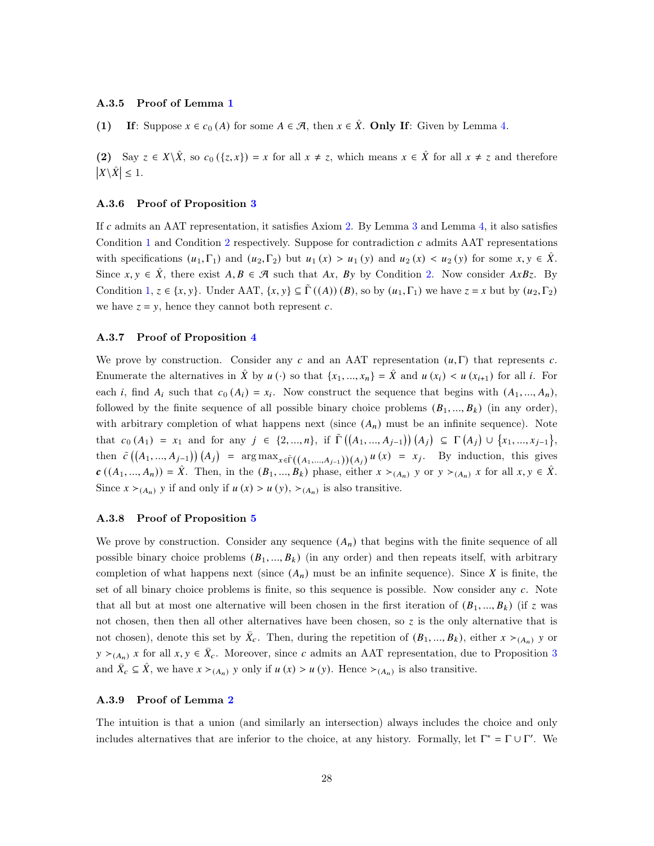### A.3.5 Proof of Lemma [1](#page-8-2)

(1) If: Suppose  $x \in c_0(A)$  for some  $A \in \mathcal{A}$ , then  $x \in \hat{X}$ . Only If: Given by Lemma [4.](#page-19-3)

(2) Say  $z \in X \setminus \hat{X}$ , so  $c_0(\{z, x\}) = x$  for all  $x \neq z$ , which means  $x \in \hat{X}$  for all  $x \neq z$  and therefore  $|X \backslash \hat{X}| \leq 1.$ 

### A.3.6 Proof of Proposition [3](#page-8-1)

If c admits an AAT representation, it satisfies Axiom [2.](#page-6-0) By Lemma [3](#page-19-2) and Lemma [4,](#page-19-3) it also satisfies Condition [1](#page-19-0) and Condition [2](#page-19-1) respectively. Suppose for contradiction  $c$  admits AAT representations with specifications  $(u_1, \Gamma_1)$  and  $(u_2, \Gamma_2)$  but  $u_1(x) > u_1(y)$  and  $u_2(x) < u_2(y)$  for some  $x, y \in \hat{X}$ . Since  $x, y \in \hat{X}$ , there exist  $A, B \in \mathcal{A}$  such that  $Ax, By$  by Condition [2.](#page-19-1) Now consider  $AxBz$ . By Condition [1,](#page-19-0)  $z \in \{x, y\}$ . Under AAT,  $\{x, y\} \subseteq \Gamma((A))$  (*B*), so by  $(u_1, \Gamma_1)$  we have  $z = x$  but by  $(u_2, \Gamma_2)$ we have  $z = y$ , hence they cannot both represent c.

#### A.3.7 Proof of Proposition [4](#page-9-0)

We prove by construction. Consider any c and an AAT representation  $(u, \Gamma)$  that represents c. Enumerate the alternatives in  $\hat{X}$  by  $u(\cdot)$  so that  $\{x_1, ..., x_n\} = \hat{X}$  and  $u(x_i) < u(x_{i+1})$  for all i. For each *i*, find  $A_i$  such that  $c_0(A_i) = x_i$ . Now construct the sequence that begins with  $(A_1, ..., A_n)$ , followed by the finite sequence of all possible binary choice problems  $(B_1, ..., B_k)$  (in any order), with arbitrary completion of what happens next (since  $(A_n)$ ) must be an infinite sequence). Note that  $c_0(A_1) = x_1$  and for any  $j \in \{2, ..., n\}$ , if  $\tilde{\Gamma}((A_1, ..., A_{j-1}))(A_j) \subseteq \Gamma(A_j) \cup \{x_1, ..., x_{j-1}\},$ then  $\tilde{c}((A_1,...,A_{j-1}))(A_j) = \arg \max_{x \in \tilde{\Gamma}((A_1,...,A_{j-1}))(A_j)} u(x) = x_j$ . By induction, this gives  $\mathbf{c}((A_1, ..., A_n)) = \hat{X}$ . Then, in the  $(B_1, ..., B_k)$  phase, either  $x \succ_{(A_n)} y$  or  $y \succ_{(A_n)} x$  for all  $x, y \in \hat{X}$ . Since  $x \succ_{(A_n)} y$  if and only if  $u(x) > u(y)$ ,  $\succ_{(A_n)}$  is also transitive.

#### A.3.8 Proof of Proposition [5](#page-9-1)

We prove by construction. Consider any sequence  $(A_n)$  that begins with the finite sequence of all possible binary choice problems  $(B_1, ..., B_k)$  (in any order) and then repeats itself, with arbitrary completion of what happens next (since  $(A_n)$ ) must be an infinite sequence). Since X is finite, the set of all binary choice problems is finite, so this sequence is possible. Now consider any  $c$ . Note that all but at most one alternative will been chosen in the first iteration of  $(B_1, ..., B_k)$  (if z was not chosen, then then all other alternatives have been chosen, so  $z$  is the only alternative that is not chosen), denote this set by  $\bar{X}_c$ . Then, during the repetition of  $(B_1, ..., B_k)$ , either  $x \succ_{(A_n)} y$  or  $y \succ_{(A_n)} x$  for all  $x, y \in \overline{X}_c$ . Moreover, since c admits an AAT representation, due to Proposition [3](#page-8-1) and  $\bar{X}_c \subseteq \hat{X}$ , we have  $x \succ_{(A_n)} y$  only if  $u(x) > u(y)$ . Hence  $\succ_{(A_n)}$  is also transitive.

#### A.3.9 Proof of Lemma [2](#page-9-5)

The intuition is that a union (and similarly an intersection) always includes the choice and only includes alternatives that are inferior to the choice, at any history. Formally, let  $\Gamma^* = \Gamma \cup \Gamma'$ . We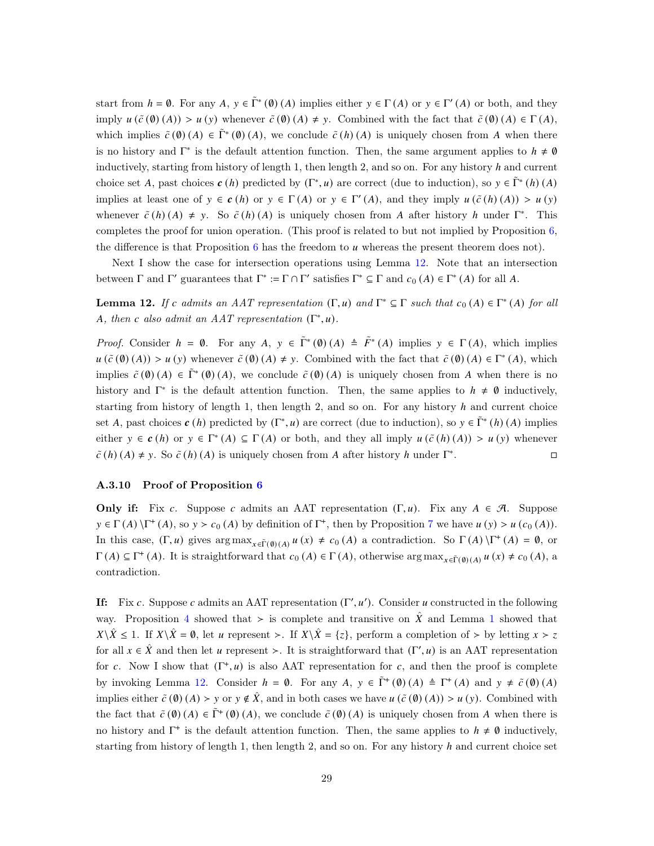start from  $h = \emptyset$ . For any  $A, y \in \tilde{\Gamma}^*(\emptyset)$  (A) implies either  $y \in \Gamma(A)$  or  $y \in \Gamma'(A)$  or both, and they imply  $u(\tilde{c}(\emptyset)(A)) > u(y)$  whenever  $\tilde{c}(\emptyset)(A) \neq y$ . Combined with the fact that  $\tilde{c}(\emptyset)(A) \in \Gamma(A)$ , which implies  $\tilde{c}(\emptyset)$  (A)  $\in \tilde{\Gamma}^*(\emptyset)$  (A), we conclude  $\tilde{c}(h)(A)$  is uniquely chosen from A when there is no history and  $\Gamma^*$  is the default attention function. Then, the same argument applies to  $h \neq \emptyset$ inductively, starting from history of length 1, then length 2, and so on. For any history  $h$  and current choice set A, past choices  $c(h)$  predicted by  $(\Gamma^*, u)$  are correct (due to induction), so  $y \in \tilde{\Gamma}^*(h)$  (A) implies at least one of  $y \in c(h)$  or  $y \in \Gamma(A)$  or  $y \in \Gamma'(A)$ , and they imply  $u(\tilde{c}(h)(A)) > u(y)$ whenever  $\tilde{c}(h)(A) \neq y$ . So  $\tilde{c}(h)(A)$  is uniquely chosen from A after history h under  $\Gamma^*$ . This completes the proof for union operation. (This proof is related to but not implied by Proposition [6,](#page-9-2) the difference is that Proposition  $6$  has the freedom to  $u$  whereas the present theorem does not).

Next I show the case for intersection operations using Lemma [12.](#page-28-0) Note that an intersection between  $\Gamma$  and  $\Gamma'$  guarantees that  $\Gamma^* := \Gamma \cap \Gamma'$  satisfies  $\Gamma^* \subseteq \Gamma$  and  $c_0(A) \in \Gamma^*(A)$  for all A.

<span id="page-28-0"></span>**Lemma 12.** If c admits an AAT representation  $(\Gamma, u)$  and  $\Gamma^* \subseteq \Gamma$  such that  $c_0(A) \in \Gamma^*(A)$  for all A, then c also admit an  $AAT$  representation  $(\Gamma^*, u)$ .

*Proof.* Consider  $h = \emptyset$ . For any  $A, y \in \tilde{\Gamma}^*(\emptyset)$   $(A) \triangleq \tilde{F}^*(A)$  implies  $y \in \Gamma(A)$ , which implies  $u(\tilde{c}(\emptyset)(A)) > u(y)$  whenever  $\tilde{c}(\emptyset)(A) \neq y$ . Combined with the fact that  $\tilde{c}(\emptyset)(A) \in \Gamma^*(A)$ , which implies  $\tilde{c}(\emptyset)(A) \in \tilde{\Gamma}^*(\emptyset)(A)$ , we conclude  $\tilde{c}(\emptyset)(A)$  is uniquely chosen from A when there is no history and  $\Gamma^*$  is the default attention function. Then, the same applies to  $h \neq \emptyset$  inductively, starting from history of length 1, then length 2, and so on. For any history  $h$  and current choice set A, past choices  $c(h)$  predicted by  $(\Gamma^*, u)$  are correct (due to induction), so  $y \in \tilde{\Gamma}^*(h)$  (A) implies either  $y \in \mathbf{c}(h)$  or  $y \in \Gamma^*(A) \subseteq \Gamma(A)$  or both, and they all imply  $u(\tilde{c}(h)(A)) > u(y)$  whenever  $\tilde{c}(h)(A) \neq y$ . So  $\tilde{c}(h)(A)$  is uniquely chosen from A after history h under  $\Gamma^*$ . В последните последните село в последните село в последните село в последните село в село в село в село в се<br>В село в село в село в село в село в село в село в село в село в село в село в село в село в село в село в сел

### A.3.10 Proof of Proposition [6](#page-9-2)

**Only if:** Fix c. Suppose c admits an AAT representation  $(\Gamma, u)$ . Fix any  $A \in \mathcal{A}$ . Suppose  $y \in \Gamma(A) \backslash \Gamma^*(A)$ , so  $y > c_0(A)$  by definition of  $\Gamma^*$ , then by Proposition [7](#page-10-0) we have  $u(y) > u(c_0(A))$ . In this case,  $(\Gamma, u)$  gives  $\arg \max_{x \in \tilde{\Gamma}(\emptyset)(A)} u(x) \neq c_0(A)$  a contradiction. So  $\Gamma(A) \backslash \Gamma^+(A) = \emptyset$ , or  $\Gamma(A) \subseteq \Gamma^+(A)$ . It is straightforward that  $c_0(A) \in \Gamma(A)$ , otherwise  $\arg \max_{x \in \tilde{\Gamma}(\emptyset)(A)} u(x) \neq c_0(A)$ , a contradiction.

If: Fix c. Suppose c admits an AAT representation  $(\Gamma', u')$ . Consider u constructed in the following way. Proposition [4](#page-9-0) showed that > is complete and transitive on  $\hat{X}$  and Lemma [1](#page-8-2) showed that  $X\setminus \hat{X} \leq 1$ . If  $X\setminus \hat{X} = \emptyset$ , let u represent ≻. If  $X\setminus \hat{X} = \{z\}$ , perform a completion of ≻ by letting  $x > z$ for all  $x \in \hat{X}$  and then let u represent >. It is straightforward that  $(\Gamma', u)$  is an AAT representation for c. Now I show that  $(\Gamma^+, u)$  is also AAT representation for c, and then the proof is complete by invoking Lemma [12.](#page-28-0) Consider  $h = \emptyset$ . For any  $A, y \in \tilde{\Gamma}^+(\emptyset)$   $(A) \triangleq \Gamma^+(A)$  and  $y \neq \tilde{c}(\emptyset)$   $(A)$ implies either  $\tilde{c}(\emptyset)(A) > y$  or  $y \notin \hat{X}$ , and in both cases we have  $u(\tilde{c}(\emptyset)(A)) > u(y)$ . Combined with the fact that  $\tilde{c}(\emptyset)(A) \in \tilde{\Gamma}^+(\emptyset)(A)$ , we conclude  $\tilde{c}(\emptyset)(A)$  is uniquely chosen from A when there is no history and  $\Gamma^+$  is the default attention function. Then, the same applies to  $h \neq \emptyset$  inductively, starting from history of length 1, then length 2, and so on. For any history  $h$  and current choice set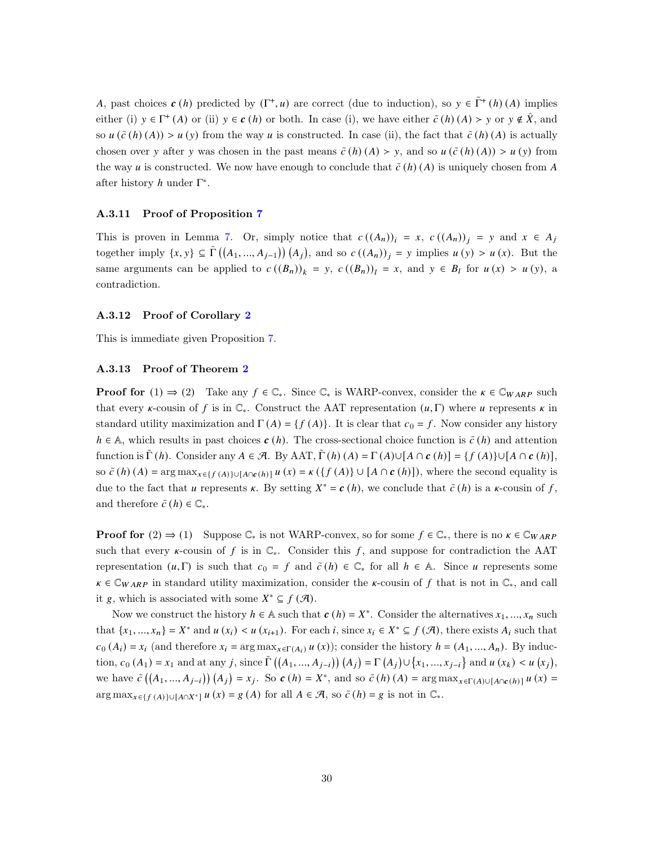A, past choices  $c(h)$  predicted by  $(\Gamma^+, u)$  are correct (due to induction), so  $y \in \tilde{\Gamma}^+(h)$  (A) implies either (i)  $y \in \Gamma^+(A)$  or (ii)  $y \in c(h)$  or both. In case (i), we have either  $\tilde{c}(h)(A) > y$  or  $y \notin \hat{X}$ , and so  $u(\tilde{c}(h)(A)) > u(y)$  from the way u is constructed. In case (ii), the fact that  $\tilde{c}(h)(A)$  is actually chosen over y after y was chosen in the past means  $\tilde{c}(h)(A) > y$ , and so  $u(\tilde{c}(h)(A)) > u(y)$  from the way u is constructed. We now have enough to conclude that  $\tilde{c}(h)(A)$  is uniquely chosen from A after history  $h$  under  $\Gamma^*$ .

#### A.3.11 Proof of Proposition [7](#page-10-0)

This is proven in Lemma [7.](#page-20-3) Or, simply notice that  $c((A_n))_i = x$ ,  $c((A_n))_i = y$  and  $x \in A_j$ together imply  $\{x, y\} \subseteq \tilde{\Gamma}\left(\left(A_1, ..., A_{j-1}\right)\right) \left(A_j\right)$ , and so  $c\left(\left(A_n\right)\right)_j = y$  implies  $u\left(y\right) > u\left(x\right)$ . But the same arguments can be applied to  $c((B_n))_k = y$ ,  $c((B_n))_l = x$ , and  $y \in B_l$  for  $u(x) > u(y)$ , a contradiction.

### A.3.12 Proof of Corollary [2](#page-10-1)

This is immediate given Proposition [7.](#page-10-0)

### A.3.13 Proof of Theorem [2](#page-11-0)

**Proof for** (1)  $\Rightarrow$  (2) Take any  $f \in \mathbb{C}_*$ . Since  $\mathbb{C}_*$  is WARP-convex, consider the  $\kappa \in \mathbb{C}_{WARP}$  such that every  $\kappa$ -cousin of f is in  $\mathbb{C}_*$ . Construct the AAT representation  $(u,\Gamma)$  where u represents  $\kappa$  in standard utility maximization and  $\Gamma(A) = \{f(A)\}\$ . It is clear that  $c_0 = f$ . Now consider any history  $h \in \mathbb{A}$ , which results in past choices  $c(h)$ . The cross-sectional choice function is  $\tilde{c}(h)$  and attention function is  $\tilde{\Gamma}(h)$ . Consider any  $A \in \mathcal{A}$ . By AAT,  $\tilde{\Gamma}(h) (A) = \Gamma(A) \cup [A \cap \mathbf{c}(h)] = \{f(A)\} \cup [A \cap \mathbf{c}(h)],$ so  $\tilde{c}(h)(A) = \arg \max_{x \in \{f(A)\} \cup [A \cap c(h)]} u(x) = \kappa(\{f(A)\} \cup [A \cap c(h)]\})$ , where the second equality is due to the fact that u represents  $\kappa$ . By setting  $X^* = c(h)$ , we conclude that  $\tilde{c}(h)$  is a  $\kappa$ -cousin of f, and therefore  $\tilde{c}(h) \in \mathbb{C}_{*}$ .

**Proof for**  $(2) \Rightarrow (1)$  Suppose  $\mathbb{C}_*$  is not WARP-convex, so for some  $f \in \mathbb{C}_*$ , there is no  $\kappa \in \mathbb{C}_{WARP}$ such that every  $\kappa$ -cousin of f is in  $\mathbb{C}_*$ . Consider this f, and suppose for contradiction the AAT representation  $(u, \Gamma)$  is such that  $c_0 = f$  and  $\tilde{c}(h) \in \mathbb{C}^*$  for all  $h \in \mathbb{A}$ . Since u represents some  $\kappa \in \mathbb{C}_{WARD}$  in standard utility maximization, consider the  $\kappa$ -cousin of f that is not in  $\mathbb{C}_*$ , and call it g, which is associated with some  $X^* \subseteq f(\mathcal{A})$ .

Now we construct the history  $h \in \mathbb{A}$  such that  $c(h) = X^*$ . Consider the alternatives  $x_1, ..., x_n$  such that  $\{x_1, ..., x_n\} = X^*$  and  $u(x_i) < u(x_{i+1})$ . For each i, since  $x_i \in X^* \subseteq f(\mathcal{A})$ , there exists  $A_i$  such that  $c_0(A_i) = x_i$  (and therefore  $x_i = \arg \max_{x \in \Gamma(A_i)} u(x)$ ); consider the history  $h = (A_1, ..., A_n)$ . By induction,  $c_0(A_1) = x_1$  and at any j, since  $\tilde{\Gamma}((A_1, ..., A_{j-i})) (A_j) = \Gamma(A_j) \cup \{x_1, ..., x_{j-i}\}$  and  $u(x_k) < u(x_j)$ , we have  $\tilde{c}((A_1,...,A_{j-i})) (A_j) = x_j$ . So  $\boldsymbol{c}(h) = X^*$ , and so  $\tilde{c}(h)(A) = \arg \max_{x \in \Gamma(A) \cup [A \cap \boldsymbol{c}(h)]} u(x) =$  $\arg \max_{x \in \{f(A)\} \cup [A \cap X^*]} u(x) = g(A)$  for all  $A \in \mathcal{A}$ , so  $\tilde{c}(h) = g$  is not in  $\mathbb{C}_*$ .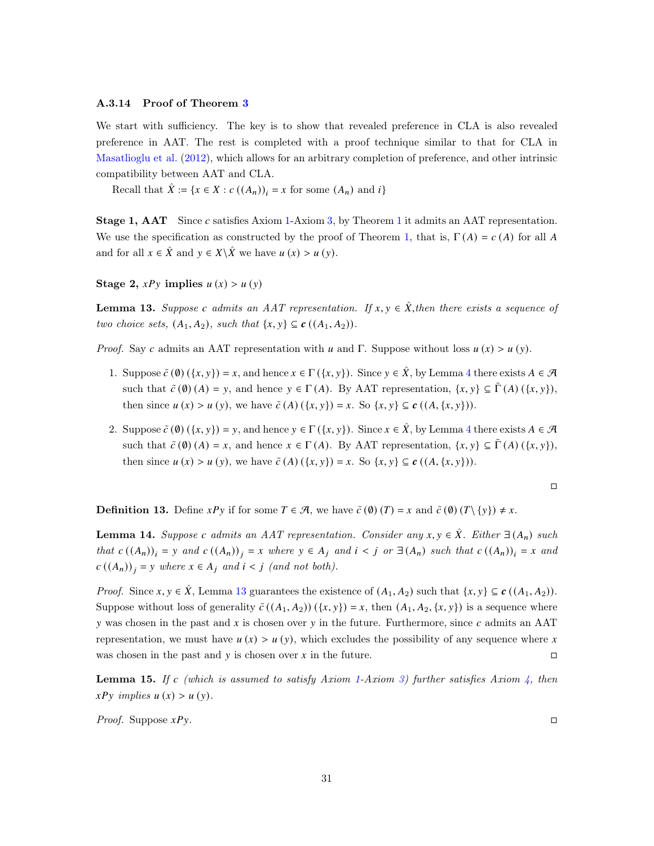### A.3.14 Proof of Theorem [3](#page-12-2)

We start with sufficiency. The key is to show that revealed preference in CLA is also revealed preference in AAT. The rest is completed with a proof technique similar to that for CLA in [Masatlioglu et al.](#page-18-0) [\(2012\)](#page-18-0), which allows for an arbitrary completion of preference, and other intrinsic compatibility between AAT and CLA.

Recall that  $\hat{X} := \{x \in X : c((A_n))_i = x \text{ for some } (A_n) \text{ and } i\}$ 

**Stage [1](#page-7-1), AAT** Since c satisfies Axiom [1-](#page-5-0)Axiom [3,](#page-6-1) by Theorem 1 it admits an AAT representation. We use the specification as constructed by the proof of Theorem [1,](#page-7-1) that is,  $\Gamma(A) = c(A)$  for all A and for all  $x \in \hat{X}$  and  $y \in X \backslash \hat{X}$  we have  $u(x) > u(y)$ .

Stage 2,  $xPy$  implies  $u(x) > u(y)$ 

<span id="page-30-0"></span>**Lemma 13.** Suppose c admits an AAT representation. If  $x, y \in \hat{X}$ , then there exists a sequence of two choice sets,  $(A_1, A_2)$ , such that  $\{x, y\} \subseteq c \ (A_1, A_2)$ .

*Proof.* Say c admits an AAT representation with u and Γ. Suppose without loss  $u(x) > u(y)$ .

- 1. Suppose  $\tilde{c}(\emptyset) (\{x, y\}) = x$ , and hence  $x \in \Gamma(\{x, y\})$ . Since  $y \in \hat{X}$ , by Lemma [4](#page-19-3) there exists  $A \in \mathcal{A}$ such that  $\tilde{c}(\emptyset)(A) = y$ , and hence  $y \in \Gamma(A)$ . By AAT representation,  $\{x, y\} \subseteq \tilde{\Gamma}(A)$   $(\{x, y\})$ , then since  $u(x) > u(y)$ , we have  $\tilde{c}(A) (\{x, y\}) = x$ . So  $\{x, y\} \subseteq c((A, \{x, y\})).$
- 2. Suppose  $\tilde{c}(\emptyset) (\{x, y\}) = y$ , and hence  $y \in \Gamma(\{x, y\})$ . Since  $x \in \hat{X}$ , by Lemma [4](#page-19-3) there exists  $A \in \mathcal{A}$ such that  $\tilde{c}(\emptyset)(A) = x$ , and hence  $x \in \Gamma(A)$ . By AAT representation,  $\{x, y\} \subseteq \tilde{\Gamma}(A) (\{x, y\})$ , then since  $u(x) > u(y)$ , we have  $\tilde{c}(A)(\{x, y\}) = x$ . So  $\{x, y\} \subseteq c((A, \{x, y\})).$

 $\Box$ 

**Definition 13.** Define  $xPy$  if for some  $T \in \mathcal{A}$ , we have  $\tilde{c}(\emptyset)(T) = x$  and  $\tilde{c}(\emptyset)(T \setminus \{y\}) \neq x$ .

<span id="page-30-1"></span>**Lemma 14.** Suppose c admits an AAT representation. Consider any  $x, y \in \hat{X}$ . Either  $\exists (A_n)$  such that  $c((A_n))_i = y$  and  $c((A_n))_i = x$  where  $y \in A_j$  and  $i < j$  or  $\exists (A_n)$  such that  $c((A_n))_i = x$  and  $c((A_n))_i = y$  where  $x \in A_i$  and  $i < j$  (and not both).

*Proof.* Since  $x, y \in \hat{X}$ , Lemma [13](#page-30-0) guarantees the existence of  $(A_1, A_2)$  such that  $\{x, y\} \subseteq c((A_1, A_2))$ . Suppose without loss of generality  $\tilde{c}((A_1, A_2))(\{x, y\}) = x$ , then  $(A_1, A_2, \{x, y\})$  is a sequence where y was chosen in the past and  $x$  is chosen over y in the future. Furthermore, since  $c$  admits an AAT representation, we must have  $u(x) > u(y)$ , which excludes the possibility of any sequence where x was chosen in the past and  $y$  is chosen over  $x$  in the future.

<span id="page-30-2"></span>**Lemma 15.** If c (which is assumed to satisfy Axiom [1-](#page-5-0)Axiom [3\)](#page-6-1) further satisfies Axiom  $\frac{1}{4}$ , then  $x P y$  implies  $u(x) > u(y)$ .

*Proof.* Suppose  $xPy$ .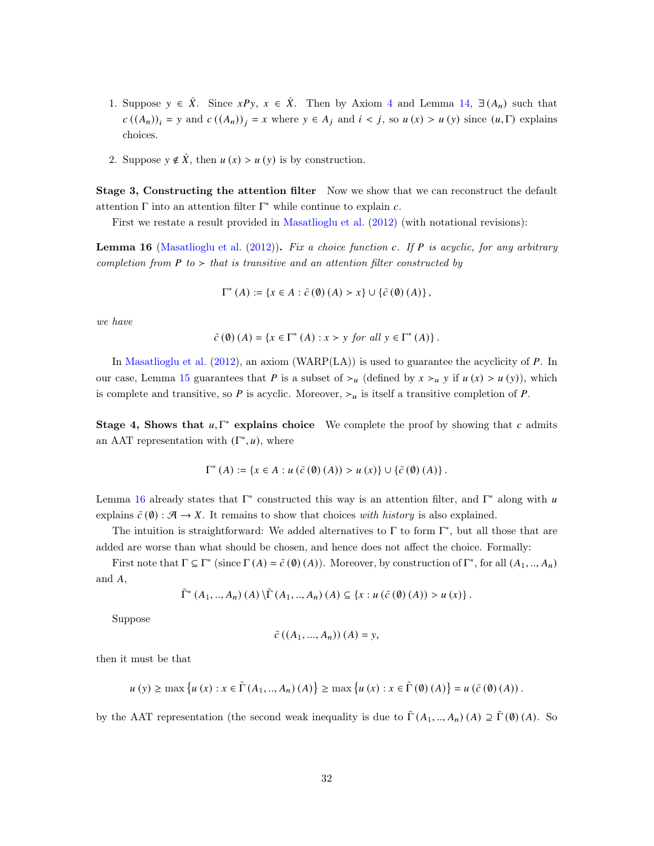- 1. Suppose  $y \in \hat{X}$ . Since  $xPy$ ,  $x \in \hat{X}$ . Then by Axiom [4](#page-12-1) and Lemma [14,](#page-30-1) ∃  $(A_n)$  such that  $c((A_n))_i = y$  and  $c((A_n))_i = x$  where  $y \in A_j$  and  $i < j$ , so  $u(x) > u(y)$  since  $(u, \Gamma)$  explains choices.
- 2. Suppose  $y \notin \hat{X}$ , then  $u(x) > u(y)$  is by construction.

Stage 3, Constructing the attention filter Now we show that we can reconstruct the default attention  $\Gamma$  into an attention filter  $\Gamma^*$  while continue to explain  $c$ .

First we restate a result provided in [Masatlioglu et al.](#page-18-0) [\(2012\)](#page-18-0) (with notational revisions):

<span id="page-31-0"></span>**Lemma 16** [\(Masatlioglu et al.](#page-18-0) [\(2012\)](#page-18-0)). Fix a choice function c. If P is acyclic, for any arbitrary completion from  $P$  to  $>$  that is transitive and an attention filter constructed by

$$
\Gamma^* (A) := \{ x \in A : \tilde{c} (\emptyset) (A) > x \} \cup \{ \tilde{c} (\emptyset) (A) \},
$$

we have

$$
\tilde{c}(\emptyset)(A) = \{x \in \Gamma^*(A) : x > y \text{ for all } y \in \Gamma^*(A)\}.
$$

In [Masatlioglu et al.](#page-18-0)  $(2012)$ , an axiom (WARP(LA)) is used to guarantee the acyclicity of P. In our case, Lemma [15](#page-30-2) guarantees that P is a subset of  $\succ_u$  (defined by  $x \succ_u y$  if  $u(x) > u(y)$ ), which is complete and transitive, so P is acyclic. Moreover,  $\succ$ <sub>u</sub> is itself a transitive completion of P.

Stage 4, Shows that  $u, \Gamma^*$  explains choice We complete the proof by showing that c admits an AAT representation with  $(\Gamma^*, u)$ , where

$$
\Gamma^{*}\left(A\right):=\left\{x\in A:u\left(\tilde{c}\left(\emptyset\right)\left(A\right)\right)>u\left(x\right)\right\}\cup\left\{\tilde{c}\left(\emptyset\right)\left(A\right)\right\}.
$$

Lemma [16](#page-31-0) already states that  $\Gamma^*$  constructed this way is an attention filter, and  $\Gamma^*$  along with  $u$ explains  $\tilde{c}(\emptyset) : \mathcal{A} \to X$ . It remains to show that choices with history is also explained.

The intuition is straightforward: We added alternatives to  $\Gamma$  to form  $\Gamma^*$ , but all those that are added are worse than what should be chosen, and hence does not affect the choice. Formally:

First note that  $\Gamma \subseteq \Gamma^*$  (since  $\Gamma(A) = \tilde{c}(\emptyset)(A)$ ). Moreover, by construction of  $\Gamma^*$ , for all  $(A_1, ..., A_n)$ and  $A$ ,

$$
\tilde{\Gamma}^*(A_1,..,A_n) (A) \backslash \tilde{\Gamma}(A_1,..,A_n) (A) \subseteq \{x : u (\tilde{c}(\emptyset) (A)) > u (x) \}.
$$

Suppose

$$
\tilde{c} ((A_1, ..., A_n)) (A) = y,
$$

then it must be that

$$
u(y) \ge \max\left\{u(x) : x \in \tilde{\Gamma}(A_1, ..., A_n)(A)\right\} \ge \max\left\{u(x) : x \in \tilde{\Gamma}(\emptyset)(A)\right\} = u(\tilde{c}(\emptyset)(A)).
$$

by the AAT representation (the second weak inequality is due to  $\tilde{\Gamma}(A_1, ..., A_n)$  (*A*)  $\supseteq \tilde{\Gamma}(0)$  (*A*). So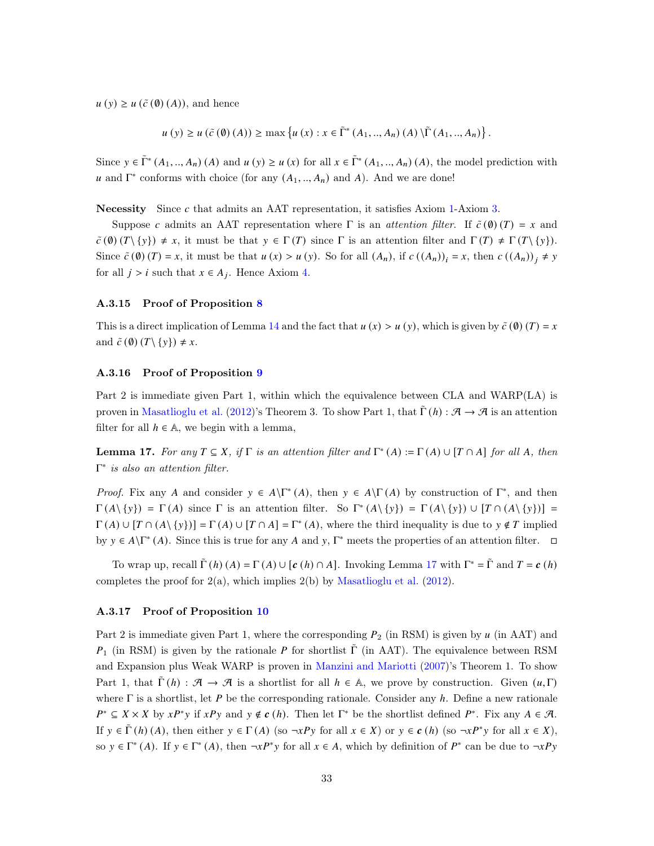$u(y) \geq u(\tilde{c}(\emptyset)(A)),$  and hence

$$
u(y) \ge u(\tilde{c}(\emptyset)(A)) \ge \max\left\{u(x) : x \in \tilde{\Gamma}^*(A_1, ..., A_n)(A) \backslash \tilde{\Gamma}(A_1, ..., A_n)\right\}.
$$

Since  $y \in \tilde{\Gamma}^*(A_1, ..., A_n)$  (A) and  $u(y) \ge u(x)$  for all  $x \in \tilde{\Gamma}^*(A_1, ..., A_n)$  (A), the model prediction with u and  $\Gamma^*$  conforms with choice (for any  $(A_1, ..., A_n)$  and A). And we are done!

Necessity Since  $c$  that admits an AAT representation, it satisfies Axiom [1-](#page-5-0)Axiom [3.](#page-6-1)

Suppose c admits an AAT representation where  $\Gamma$  is an *attention filter*. If  $\tilde{c}(\emptyset)(T) = x$  and  $\tilde{c}(\emptyset)(T\setminus\{y\}) \neq x$ , it must be that  $y \in \Gamma(T)$  since  $\Gamma$  is an attention filter and  $\Gamma(T) \neq \Gamma(T\setminus\{y\}).$ Since  $\tilde{c}(\emptyset)(T) = x$ , it must be that  $u(x) > u(y)$ . So for all  $(A_n)$ , if  $c((A_n))_i = x$ , then  $c((A_n))_i \neq y$ for all  $j > i$  such that  $x \in A_j$ . Hence Axiom [4.](#page-12-1)

#### A.3.15 Proof of Proposition [8](#page-13-3)

This is a direct implication of Lemma [14](#page-30-1) and the fact that  $u(x) > u(y)$ , which is given by  $\tilde{c}(0)(T) = x$ and  $\tilde{c}(\emptyset)(T\backslash \{y\}) \neq x$ .

### A.3.16 Proof of Proposition [9](#page-13-0)

Part 2 is immediate given Part 1, within which the equivalence between CLA and WARP(LA) is proven in [Masatlioglu et al.](#page-18-0) [\(2012\)](#page-18-0)'s Theorem 3. To show Part 1, that  $\tilde{\Gamma}(h)$ :  $\mathcal{A} \to \mathcal{A}$  is an attention filter for all  $h \in \mathbb{A}$ , we begin with a lemma,

<span id="page-32-0"></span>**Lemma 17.** For any  $T \subseteq X$ , if  $\Gamma$  is an attention filter and  $\Gamma^*(A) := \Gamma(A) \cup [T \cap A]$  for all A, then  $\Gamma^*$  is also an attention filter.

Proof. Fix any A and consider  $y \in A\backslash \Gamma^*(A)$ , then  $y \in A\backslash \Gamma(A)$  by construction of  $\Gamma^*$ , and then  $\Gamma(A \setminus \{y\}) = \Gamma(A)$  since  $\Gamma$  is an attention filter. So  $\Gamma^*(A \setminus \{y\}) = \Gamma(A \setminus \{y\}) \cup [T \cap (A \setminus \{y\})] =$  $\Gamma(A) \cup [T \cap (A \setminus \{y\})] = \Gamma(A) \cup [T \cap A] = \Gamma^*(A)$ , where the third inequality is due to  $y \notin T$  implied by  $y \in A \backslash \Gamma^*(A)$ . Since this is true for any A and  $y, \Gamma^*$  meets the properties of an attention filter.  $\Box$ 

To wrap up, recall  $\tilde{\Gamma}(h)(A) = \Gamma(A) \cup [c(h) \cap A]$ . Invoking Lemma [17](#page-32-0) with  $\Gamma^* = \tilde{\Gamma}$  and  $T = c(h)$ completes the proof for  $2(a)$ , which implies  $2(b)$  by [Masatlioglu et al.](#page-18-0) [\(2012](#page-18-0)).

#### A.3.17 Proof of Proposition [10](#page-14-0)

Part 2 is immediate given Part 1, where the corresponding  $P_2$  (in RSM) is given by  $u$  (in AAT) and  $P_1$  (in RSM) is given by the rationale P for shortlist  $\tilde{\Gamma}$  (in AAT). The equivalence between RSM and Expansion plus Weak WARP is proven in [Manzini and Mariotti](#page-18-1) [\(2007](#page-18-1))'s Theorem 1. To show Part 1, that  $\tilde{\Gamma}(h)$ :  $\mathcal{A} \to \mathcal{A}$  is a shortlist for all  $h \in \mathbb{A}$ , we prove by construction. Given  $(u, \Gamma)$ where  $\Gamma$  is a shortlist, let P be the corresponding rationale. Consider any h. Define a new rationale  $P^* \subseteq X \times X$  by  $xP^*y$  if  $xPy$  and  $y \notin c(h)$ . Then let  $\Gamma^*$  be the shortlist defined  $P^*$ . Fix any  $A \in \mathcal{A}$ . If  $y \in \tilde{\Gamma}(h)(A)$ , then either  $y \in \Gamma(A)$  (so  $\neg xPy$  for all  $x \in X$ ) or  $y \in c(h)$  (so  $\neg xPy$  for all  $x \in X$ ), so  $y \in \Gamma^*(A)$ . If  $y \in \Gamma^*(A)$ , then  $\neg xP^*y$  for all  $x \in A$ , which by definition of  $P^*$  can be due to  $\neg xPy$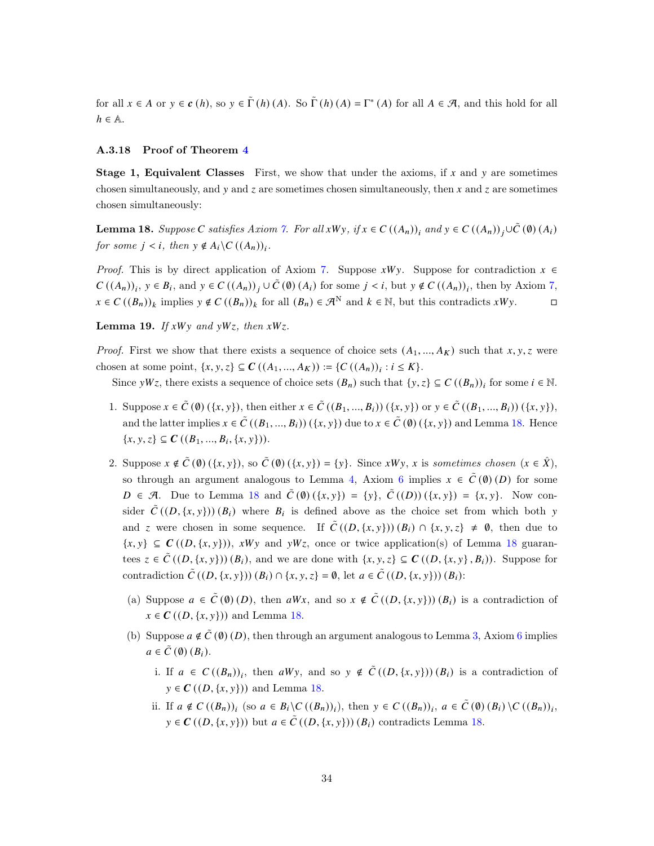for all  $x \in A$  or  $y \in c(h)$ , so  $y \in \tilde{\Gamma}(h)(A)$ . So  $\tilde{\Gamma}(h)(A) = \Gamma^*(A)$  for all  $A \in \mathcal{A}$ , and this hold for all  $h \in \mathbb{A}$ .

### A.3.18 Proof of Theorem [4](#page-16-0)

**Stage 1, Equivalent Classes** First, we show that under the axioms, if  $x$  and  $y$  are sometimes chosen simultaneously, and  $y$  and  $z$  are sometimes chosen simultaneously, then  $x$  and  $z$  are sometimes chosen simultaneously:

<span id="page-33-0"></span>**Lemma 18.** Suppose C satisfies Axiom [7.](#page-15-2) For all xWy, if  $x \in C((A_n))$ , and  $y \in C((A_n))$ ,  $\cup \tilde{C}(0)(A_i)$ for some  $j < i$ , then  $y \notin A_i \backslash C((A_n))_i$ .

*Proof.* This is by direct application of Axiom [7.](#page-15-2) Suppose  $xWy$ . Suppose for contradiction  $x \in$  $C((A_n))_i, y \in B_i$ , and  $y \in C((A_n))_j \cup C(\emptyset)(A_i)$  for some  $j < i$ , but  $y \notin C((A_n))_i$ , then by Axiom [7,](#page-15-2)  $x \in C((B_n))_k$  implies  $y \notin C((B_n))_k$  for all  $(B_n) \in \mathcal{A}^N$  and  $k \in \mathbb{N}$ , but this contradicts  $xWy$ .

<span id="page-33-1"></span>**Lemma 19.** If  $xWy$  and  $yWz$ , then  $xWz$ .

*Proof.* First we show that there exists a sequence of choice sets  $(A_1, ..., A_K)$  such that x, y, z were chosen at some point,  $\{x, y, z\} \subseteq \mathbb{C}((A_1, ..., A_K)) := \{C((A_n))_i : i \leq K\}.$ 

Since  $yW_z$ , there exists a sequence of choice sets  $(B_n)$  such that  $\{y, z\} \subseteq C((B_n))_i$  for some  $i \in \mathbb{N}$ .

- 1. Suppose  $x \in \tilde{C}(\emptyset)$   $(\{x, y\})$ , then either  $x \in \tilde{C}((B_1, ..., B_i))$   $(\{x, y\})$  or  $y \in \tilde{C}((B_1, ..., B_i))$   $(\{x, y\})$ , and the latter implies  $x \in \tilde{C}((B_1, ..., B_i))$   $(\{x, y\})$  due to  $x \in \tilde{C}(0)$   $(\{x, y\})$  and Lemma [18.](#page-33-0) Hence  ${x, y, z} \subseteq C ((B_1, ..., B_i, \{x, y\})).$
- 2. Suppose  $x \notin \tilde{C}(\emptyset)$   $(\{x, y\})$ , so  $\tilde{C}(\emptyset)$   $(\{x, y\}) = \{y\}$ . Since  $xWy$ ,  $x$  is sometimes chosen  $(x \in \hat{X})$ , so through an argument analogous to Lemma [4,](#page-19-3) Axiom [6](#page-15-3) implies  $x \in \tilde{C}(0)(D)$  for some  $D \in \mathcal{A}$ . Due to Lemma [18](#page-33-0) and  $\tilde{C}(\emptyset) (\{x, y\}) = \{y\}, \tilde{C}((D)) (\{x, y\}) = \{x, y\}.$  Now consider  $\tilde{C}((D,\{x,y\}))(B_i)$  where  $B_i$  is defined above as the choice set from which both y and z were chosen in some sequence. If  $\tilde{C}((D,\{x,y\}))(B_i) \cap \{x,y,z\} \neq \emptyset$ , then due to  $\{x, y\} \subseteq C((D, \{x, y\})), xWy$  and  $yWz$ , once or twice application(s) of Lemma [18](#page-33-0) guarantees  $z \in \tilde{C}((D, \{x, y\})) (B_i)$ , and we are done with  $\{x, y, z\} \subseteq C((D, \{x, y\}, B_i))$ . Suppose for contradiction  $\tilde{C}((D, \{x, y\})) (B_i) \cap \{x, y, z\} = \emptyset$ , let  $a \in \tilde{C}((D, \{x, y\})) (B_i)$ :
	- (a) Suppose  $a \in \tilde{C}(\emptyset)(D)$ , then  $aWx$ , and so  $x \notin \tilde{C}((D,\{x,y\}))(B_i)$  is a contradiction of  $x \in \mathbb{C}((D, \{x, y\}))$  and Lemma [18.](#page-33-0)
	- (b) Suppose  $a \notin \tilde{C}(\emptyset)(D)$ , then through an argument analogous to Lemma [3,](#page-19-2) Axiom [6](#page-15-3) implies  $a \in \tilde{C}(\emptyset) (B_i).$ 
		- i. If  $a \in C((B_n))_i$ , then  $aWy$ , and so  $y \notin \tilde{C}((D, \{x, y\})) (B_i)$  is a contradiction of  $y \in \mathbb{C}((D, \{x, y\}))$  and Lemma [18.](#page-33-0)
		- ii. If  $a \notin C((B_n))_i$  (so  $a \in B_i \backslash C((B_n))_i$ ), then  $y \in C((B_n))_i$ ,  $a \in \tilde{C}(0)(B_i) \backslash C((B_n))_i$ ,  $y \in \mathcal{C}((D, \{x, y\}))$  but  $a \in \tilde{C}((D, \{x, y\}))$   $(B_i)$  contradicts Lemma [18.](#page-33-0)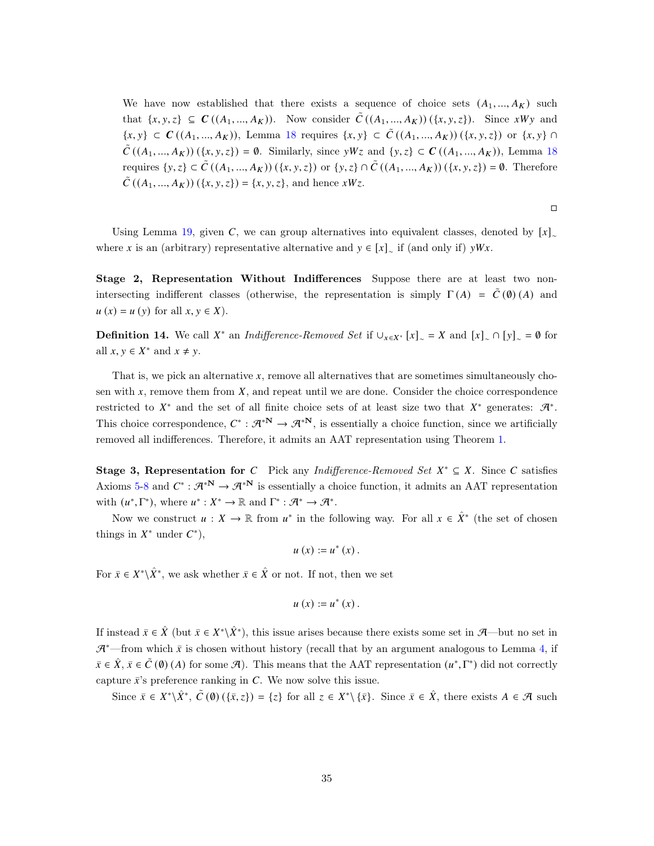We have now established that there exists a sequence of choice sets  $(A_1, ..., A_K)$  such that  $\{x, y, z\} \subseteq C((A_1, ..., A_K))$ . Now consider  $\tilde{C}((A_1, ..., A_K))(\{x, y, z\})$ . Since  $xWy$  and  $\{x, y\} \subset C((A_1, ..., A_K))$ , Lemma [18](#page-33-0) requires  $\{x, y\} \subset \tilde{C}((A_1, ..., A_K))$   $(\{x, y, z\})$  or  $\{x, y\}$  $\tilde{C}((A_1,...,A_K))(\{x,y,z\}) = \emptyset$ . Similarly, since yWz and  $\{y,z\} \subset C((A_1,...,A_K))$ , Lemma [18](#page-33-0) requires  $\{y, z\} \subset \tilde{C}((A_1, ..., A_K))$   $(\{x, y, z\})$  or  $\{y, z\} \cap \tilde{C}((A_1, ..., A_K))$   $(\{x, y, z\}) = \emptyset$ . Therefore  $\tilde{C} ((A_1, ..., A_K)) (\{x, y, z\}) = \{x, y, z\}$ , and hence  $xWz$ .

 $\Box$ 

Using Lemma [19,](#page-33-1) given C, we can group alternatives into equivalent classes, denoted by  $[x]_{\sim}$ where x is an (arbitrary) representative alternative and  $y \in [x]_{\sim}$  if (and only if)  $yWx$ .

Stage 2, Representation Without Indifferences Suppose there are at least two nonintersecting indifferent classes (otherwise, the representation is simply  $\Gamma(A) = \tilde{C}(\emptyset)(A)$  and  $u(x) = u(y)$  for all  $x, y \in X$ ).

**Definition 14.** We call  $X^*$  an *Indifference-Removed Set* if  $\bigcup_{x \in X^*} [x]_{\sim} = X$  and  $[x]_{\sim} \cap [y]_{\sim} = \emptyset$  for all  $x, y \in X^*$  and  $x \neq y$ .

That is, we pick an alternative  $x$ , remove all alternatives that are sometimes simultaneously chosen with  $x$ , remove them from  $X$ , and repeat until we are done. Consider the choice correspondence restricted to  $X^*$  and the set of all finite choice sets of at least size two that  $X^*$  generates:  $\mathcal{A}^*$ . This choice correspondence,  $C^* : \mathcal{A}^{*\mathbf{N}} \to \mathcal{A}^{*\mathbf{N}}$ , is essentially a choice function, since we artificially removed all indifferences. Therefore, it admits an AAT representation using Theorem [1.](#page-7-1)

Stage 3, Representation for C Pick any Indifference-Removed Set  $X^* \subseteq X$ . Since C satisfies Axioms [5](#page-15-1)[-8](#page-15-0) and  $C^* : \mathcal{A}^{*\mathbf{N}} \to \mathcal{A}^{*\mathbf{N}}$  is essentially a choice function, it admits an AAT representation with  $(u^*, \Gamma^*)$ , where  $u^*: X^* \to \mathbb{R}$  and  $\Gamma^*: \mathcal{A}^* \to \mathcal{A}^*$ .

Now we construct  $u: X \to \mathbb{R}$  from  $u^*$  in the following way. For all  $x \in \hat{X}^*$  (the set of chosen things in  $X^*$  under  $C^*$ ),

$$
u\left( x\right) :=u^{\ast }\left( x\right) .
$$

For  $\bar{x} \in X^* \backslash \hat{X}^*$ , we ask whether  $\bar{x} \in \hat{X}$  or not. If not, then we set

$$
u\left( x\right) :=u^{\ast }\left( x\right) .
$$

If instead  $\bar{x} \in \hat{X}$  (but  $\bar{x} \in X^* \setminus \hat{X}^*$ ), this issue arises because there exists some set in A—but no set in  $\mathcal{A}^*$ —from which  $\bar{x}$  is chosen without history (recall that by an argument analogous to Lemma [4,](#page-19-3) if  $\bar{x} \in \hat{X}, \bar{x} \in \tilde{C}(0)$  (A) for some  $\mathcal{A}$ ). This means that the AAT representation  $(u^*, \Gamma^*)$  did not correctly capture  $\bar{x}$ 's preference ranking in  $C$ . We now solve this issue.

Since  $\bar{x} \in X^* \setminus \hat{X}^*, \tilde{C}(\emptyset) (\{\bar{x}, z\}) = \{z\}$  for all  $z \in X^* \setminus {\{\bar{x}\}}$ . Since  $\bar{x} \in \hat{X}$ , there exists  $A \in \mathcal{A}$  such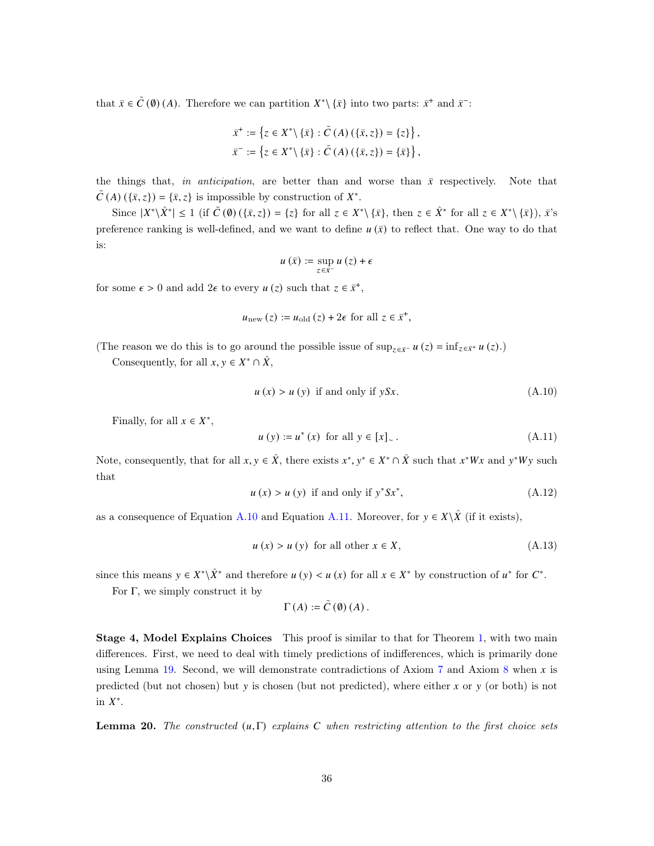that  $\bar{x} \in \tilde{C}(\emptyset)$  (A). Therefore we can partition  $X^* \setminus {\bar{x}}$  into two parts:  $\bar{x}^+$  and  $\bar{x}^-$ :

$$
\bar{x}^+ := \{ z \in X^* \setminus \{ \bar{x} \} : \tilde{C}(A) \left( \{ \bar{x}, z \} \right) = \{ z \} \},
$$
  

$$
\bar{x}^- := \{ z \in X^* \setminus \{ \bar{x} \} : \tilde{C}(A) \left( \{ \bar{x}, z \} \right) = \{ \bar{x} \} \},
$$

the things that, in anticipation, are better than and worse than  $\bar{x}$  respectively. Note that  $\tilde{C}(A) (\{\bar{x}, z\}) = \{\bar{x}, z\}$  is impossible by construction of  $X^*$ .

Since  $|X^*\hat{X}^*| \leq 1$  (if  $\tilde{C}(0) (\{\bar{x}, z\}) = \{z\}$  for all  $z \in X^* \setminus {\{\bar{x}\}},$  then  $z \in \hat{X}^*$  for all  $z \in X^* \setminus {\{\bar{x}\}}, \bar{x}^*$ preference ranking is well-defined, and we want to define  $u(\bar{x})$  to reflect that. One way to do that is:

$$
u\left(\bar{x}\right):=\sup_{z\in\bar{x}^-}u\left(z\right)+\epsilon
$$

for some  $\epsilon > 0$  and add  $2\epsilon$  to every  $u(z)$  such that  $z \in \bar{x}^+$ ,

$$
u_{\text{new}}(z) := u_{\text{old}}(z) + 2\epsilon \text{ for all } z \in \bar{x}^+,
$$

(The reason we do this is to go around the possible issue of  $\sup_{z \in \bar{x}^-} u(z) = \inf_{z \in \bar{x}^+} u(z)$ .)

Consequently, for all  $x, y \in X^* \cap \hat{X}$ ,

<span id="page-35-0"></span>
$$
u(x) > u(y) \text{ if and only if } ySx. \tag{A.10}
$$

Finally, for all  $x \in X^*$ ,

<span id="page-35-1"></span>
$$
u(y) := u^*(x)
$$
 for all  $y \in [x]_{\sim}$ . (A.11)

Note, consequently, that for all  $x, y \in \hat{X}$ , there exists  $x^*, y^* \in X^* \cap \hat{X}$  such that  $x^*Wx$  and  $y^*Wy$  such that

<span id="page-35-4"></span>
$$
u(x) > u(y) \text{ if and only if } y^* S x^*, \tag{A.12}
$$

as a consequence of Equation [A.10](#page-35-0) and Equation [A.11.](#page-35-1) Moreover, for  $y \in X \setminus \hat{X}$  (if it exists),

<span id="page-35-3"></span>
$$
u(x) > u(y) \text{ for all other } x \in X,
$$
\n(A.13)

since this means  $y \in X^* \backslash \hat{X}^*$  and therefore  $u(y) < u(x)$  for all  $x \in X^*$  by construction of  $u^*$  for  $C^*$ .

For  $\Gamma$ , we simply construct it by

$$
\Gamma(A) := \tilde{C}(\emptyset) (A) .
$$

Stage 4, Model Explains Choices This proof is similar to that for Theorem [1,](#page-7-1) with two main differences. First, we need to deal with timely predictions of indifferences, which is primarily done using Lemma [19.](#page-33-1) Second, we will demonstrate contradictions of Axiom  $7$  and Axiom  $8$  when  $x$  is predicted (but not chosen) but  $y$  is chosen (but not predicted), where either  $x$  or  $y$  (or both) is not in  $X^*$ .

<span id="page-35-2"></span>**Lemma 20.** The constructed  $(u, \Gamma)$  explains C when restricting attention to the first choice sets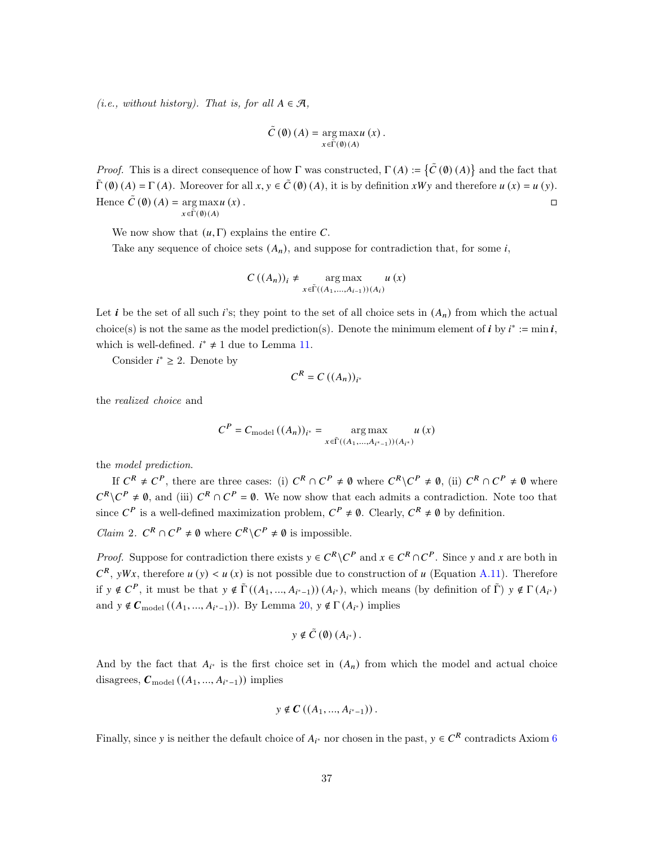(*i.e.*, without history). That is, for all  $A \in \mathcal{A}$ ,

$$
\tilde{C}\left(\emptyset\right)\left(A\right)=\underset{x\in\tilde{\Gamma}\left(\emptyset\right)\left(A\right)}{\arg\max}u\left(x\right).
$$

*Proof.* This is a direct consequence of how  $\Gamma$  was constructed,  $\Gamma(A) := \{ \tilde{C}(\emptyset) (A) \}$  and the fact that  $\tilde{\Gamma}(\emptyset)$  (A) =  $\Gamma(A)$ . Moreover for all  $x, y \in \tilde{C}(\emptyset)$  (A), it is by definition  $xWy$  and therefore  $u(x) = u(y)$ . Hence  $\tilde{C}(\emptyset)(A) = \arg \max u(x)$ .  $x \in \widetilde{\Gamma}(\emptyset) (A)$  $u(x)$ .

We now show that  $(u, \Gamma)$  explains the entire C.

Take any sequence of choice sets  $(A_n)$ , and suppose for contradiction that, for some i,

$$
C\left((A_n)\right)_i \neq \operatorname*{arg\,max}_{x \in \widetilde{\Gamma}((A_1, \ldots, A_{i-1}))(A_i)} u\left(x\right)
$$

Let *i* be the set of all such *i*'s; they point to the set of all choice sets in  $(A_n)$  from which the actual choice(s) is not the same as the model prediction(s). Denote the minimum element of  $i$  by  $i^* := \min i$ , which is well-defined.  $i^* \neq 1$  due to Lemma [11.](#page-23-2)

Consider  $i^* \geq 2$ . Denote by

$$
C^R = C((A_n))_{i^*}
$$

the realized choice and

$$
C^{P} = C_{\text{model}} \left( (A_{n}) \right)_{i^{*}} = \operatorname*{arg\,max}_{x \in \tilde{\Gamma}((A_{1},...,A_{i^{*}-1}))(A_{i^{*}})} u(x)
$$

the model prediction.

If  $C^R \neq C^P$ , there are three cases: (i)  $C^R \cap C^P \neq \emptyset$  where  $C^R \setminus C^P \neq \emptyset$ , (ii)  $C^R \cap C^P \neq \emptyset$  where  $C^R \setminus C^P \neq \emptyset$ , and (iii)  $C^R \cap C^P = \emptyset$ . We now show that each admits a contradiction. Note too that since  $C^P$  is a well-defined maximization problem,  $C^P \neq \emptyset$ . Clearly,  $C^R \neq \emptyset$  by definition.

*Claim* 2.  $C^R \cap C^P \neq \emptyset$  where  $C^R \setminus C^P \neq \emptyset$  is impossible.

*Proof.* Suppose for contradiction there exists  $y \in C^R \setminus C^P$  and  $x \in C^R \cap C^P$ . Since y and x are both in  $\mathcal{C}^R$ , yWx, therefore  $u(y) < u(x)$  is not possible due to construction of u (Equation [A.11\)](#page-35-1). Therefore if  $y \notin C^P$ , it must be that  $y \notin \tilde{\Gamma}((A_1, ..., A_{i^*-1}))(A_{i^*})$ , which means (by definition of  $\tilde{\Gamma})$   $y \notin \Gamma(A_{i^*})$ and  $y \notin C_{\text{model}}((A_1, ..., A_{i^*-1}))$ . By Lemma  $20, y \notin \Gamma(A_{i^*})$  $20, y \notin \Gamma(A_{i^*})$  implies

$$
y \notin \tilde{C}(\emptyset) (A_{i^*}).
$$

And by the fact that  $A_{i^*}$  is the first choice set in  $(A_n)$  from which the model and actual choice disagrees,  $C_{\text{model}}((A_1, ..., A_{i^*-1}))$  implies

$$
y \notin C((A_1, ..., A_{i^*-1}))
$$
.

Finally, since y is neither the default choice of  $A_{i^*}$  nor chosen in the past,  $y \in C^R$  contradicts Axiom [6](#page-15-3)